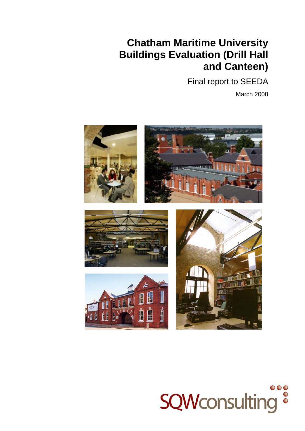## **Chatham Maritime University Buildings Evaluation (Drill Hall and Canteen)**

Final report to SEEDA

March 2008



# $\bullet\bullet\bullet$ **SQWconsulting ®**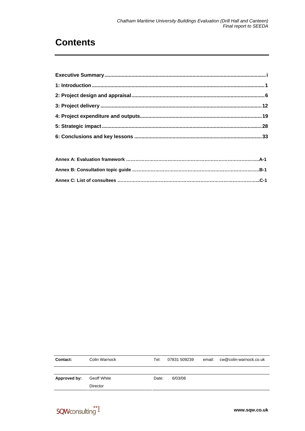## **Contents**

| Contact:     | Colin Warnock      | Tel:  | 07831 509239 | email: | cw@colin-warnock.co.uk |
|--------------|--------------------|-------|--------------|--------|------------------------|
|              |                    |       |              |        |                        |
| Approved by: | <b>Geoff White</b> | Date: | 6/03/08      |        |                        |
|              | <b>Director</b>    |       |              |        |                        |

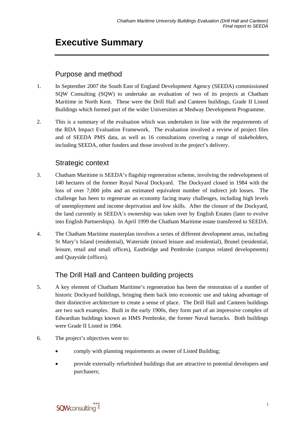## <span id="page-2-0"></span>**Executive Summary**

### Purpose and method

- 1. In September 2007 the South East of England Development Agency (SEEDA) commissioned SQW Consulting (SQW) to undertake an evaluation of two of its projects at Chatham Maritime in North Kent. These were the Drill Hall and Canteen buildings, Grade II Listed Buildings which formed part of the wider Universities at Medway Development Programme.
- 2. This is a summary of the evaluation which was undertaken in line with the requirements of the RDA Impact Evaluation Framework. The evaluation involved a review of project files and of SEEDA PMS data, as well as 16 consultations covering a range of stakeholders, including SEEDA, other funders and those involved in the project's delivery.

### Strategic context

- 3. Chatham Maritime is SEEDA's flagship regeneration scheme, involving the redevelopment of 140 hectares of the former Royal Naval Dockyard. The Dockyard closed in 1984 with the loss of over 7,000 jobs and an estimated equivalent number of indirect job losses. The challenge has been to regenerate an economy facing many challenges, including high levels of unemployment and income deprivation and low skills. After the closure of the Dockyard, the land currently in SEEDA's ownership was taken over by English Estates (later to evolve into English Partnerships). In April 1999 the Chatham Maritime estate transferred to SEEDA.
- 4. The Chatham Maritime masterplan involves a series of different development areas, including St Mary's Island (residential), Waterside (mixed leisure and residential), Brunel (residential, leisure, retail and small offices), Eastbridge and Pembroke (campus related developments) and Quayside (offices).

### The Drill Hall and Canteen building projects

- 5. A key element of Chatham Maritime's regeneration has been the restoration of a number of historic Dockyard buildings, bringing them back into economic use and taking advantage of their distinctive architecture to create a sense of place. The Drill Hall and Canteen buildings are two such examples. Built in the early 1900s, they form part of an impressive complex of Edwardian buildings known as HMS Pembroke, the former Naval barracks. Both buildings were Grade II Listed in 1984.
- 6. The project's objectives were to:
	- comply with planning requirements as owner of Listed Building;
	- provide externally refurbished buildings that are attractive to potential developers and purchasers;

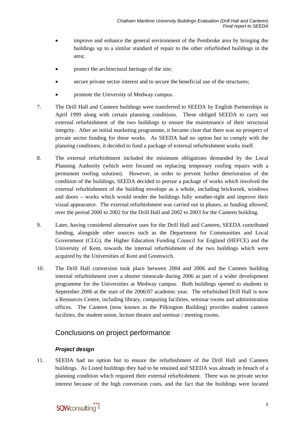- improve and enhance the general environment of the Pembroke area by bringing the buildings up to a similar standard of repair to the other refurbished buildings in the area;
- protect the architectural heritage of the site;
- secure private sector interest and to secure the beneficial use of the structures;
- promote the University of Medway campus.
- 7. The Drill Hall and Canteen buildings were transferred to SEEDA by English Partnerships in April 1999 along with certain planning conditions. These obliged SEEDA to carry out external refurbishment of the two buildings to ensure the maintenance of their structural integrity. After an initial marketing programme, it became clear that there was no prospect of private sector funding for these works. As SEEDA had no option but to comply with the planning conditions, it decided to fund a package of external refurbishment works itself.
- 8. The external refurbishment included the minimum obligations demanded by the Local Planning Authority (which were focused on replacing temporary roofing repairs with a permanent roofing solution). However, in order to prevent further deterioration of the condition of the buildings, SEEDA decided to pursue a package of works which involved the external refurbishment of the building envelope as a whole, including brickwork, windows and doors – works which would render the buildings fully weather-tight and improve their visual appearance. The external refurbishment was carried out in phases, as funding allowed, over the period 2000 to 2002 for the Drill Hall and 2002 to 2003 for the Canteen building.
- 9. Later, having considered alternative uses for the Drill Hall and Canteen, SEEDA contributed funding, alongside other sources such as the Department for Communities and Local Government (CLG), the Higher Education Funding Council for England (HEFCE) and the University of Kent, towards the internal refurbishment of the two buildings which were acquired by the Universities of Kent and Greenwich.
- 10. The Drill Hall conversion took place between 2004 and 2006 and the Canteen building internal refurbishment over a shorter timescale during 2006 as part of a wider development programme for the Universities at Medway campus. Both buildings opened to students in September 2006 at the start of the 2006/07 academic year. The refurbished Drill Hall is now a Resources Centre, including library, computing facilities, seminar rooms and administration offices. The Canteen (now known as the Pilkington Building) provides student canteen facilities, the student union, lecture theatre and seminar / meeting rooms.

### Conclusions on project performance

#### *Project design*

11. SEEDA had no option but to ensure the refurbishment of the Drill Hall and Canteen buildings. As Listed buildings they had to be retained and SEEDA was already in breach of a planning condition which required their external refurbishment. There was no private sector interest because of the high conversion costs, and the fact that the buildings were located

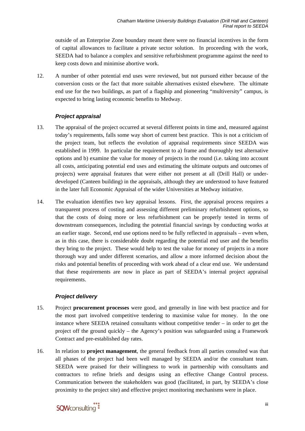outside of an Enterprise Zone boundary meant there were no financial incentives in the form of capital allowances to facilitate a private sector solution. In proceeding with the work, SEEDA had to balance a complex and sensitive refurbishment programme against the need to keep costs down and minimise abortive work.

12. A number of other potential end uses were reviewed, but not pursued either because of the conversion costs or the fact that more suitable alternatives existed elsewhere. The ultimate end use for the two buildings, as part of a flagship and pioneering "multiversity" campus, is expected to bring lasting economic benefits to Medway.

#### *Project appraisal*

- 13. The appraisal of the project occurred at several different points in time and, measured against today's requirements, falls some way short of current best practice. This is not a criticism of the project team, but reflects the evolution of appraisal requirements since SEEDA was established in 1999. In particular the requirement to a) frame and thoroughly test alternative options and b) examine the value for money of projects in the round (i.e. taking into account all costs, anticipating potential end uses and estimating the ultimate outputs and outcomes of projects) were appraisal features that were either not present at all (Drill Hall) or underdeveloped (Canteen building) in the appraisals, although they are understood to have featured in the later full Economic Appraisal of the wider Universities at Medway initiative.
- 14. The evaluation identifies two key appraisal lessons. First, the appraisal process requires a transparent process of costing and assessing different preliminary refurbishment options, so that the costs of doing more or less refurbishment can be properly tested in terms of downstream consequences, including the potential financial savings by conducting works at an earlier stage. Second, end use options need to be fully reflected in appraisals – even when, as in this case, there is considerable doubt regarding the potential end user and the benefits they bring to the project. These would help to test the value for money of projects in a more thorough way and under different scenarios, and allow a more informed decision about the risks and potential benefits of proceeding with work ahead of a clear end use. We understand that these requirements are now in place as part of SEEDA's internal project appraisal requirements.

#### *Project delivery*

- 15. Project **procurement processes** were good, and generally in line with best practice and for the most part involved competitive tendering to maximise value for money. In the one instance where SEEDA retained consultants without competitive tender – in order to get the project off the ground quickly – the Agency's position was safeguarded using a Framework Contract and pre-established day rates.
- 16. In relation to **project management**, the general feedback from all parties consulted was that all phases of the project had been well managed by SEEDA and/or the consultant team. SEEDA were praised for their willingness to work in partnership with consultants and contractors to refine briefs and designs using an effective Change Control process. Communication between the stakeholders was good (facilitated, in part, by SEEDA's close proximity to the project site) and effective project monitoring mechanisms were in place.

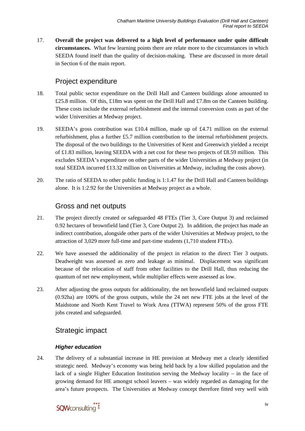17. **Overall the project was delivered to a high level of performance under quite difficult circumstances.** What few learning points there are relate more to the circumstances in which SEEDA found itself than the quality of decision-making. These are discussed in more detail in Section 6 of the main report.

### Project expenditure

- 18. Total public sector expenditure on the Drill Hall and Canteen buildings alone amounted to £25.8 million. Of this, £18m was spent on the Drill Hall and £7.8m on the Canteen building. These costs include the external refurbishment and the internal conversion costs as part of the wider Universities at Medway project.
- 19. SEEDA's gross contribution was £10.4 million, made up of £4.71 million on the external refurbishment, plus a further £5.7 million contribution to the internal refurbishment projects. The disposal of the two buildings to the Universities of Kent and Greenwich yielded a receipt of £1.83 million, leaving SEEDA with a net cost for these two projects of £8.59 million. This excludes SEEDA's expenditure on other parts of the wider Universities at Medway project (in total SEEDA incurred £13.32 million on Universities at Medway, including the costs above).
- 20. The ratio of SEEDA to other public funding is 1:1.47 for the Drill Hall and Canteen buildings alone. It is 1:2.92 for the Universities at Medway project as a whole.

### Gross and net outputs

- 21. The project directly created or safeguarded 48 FTEs (Tier 3, Core Output 3) and reclaimed 0.92 hectares of brownfield land (Tier 3, Core Output 2). In addition, the project has made an indirect contribution, alongside other parts of the wider Universities at Medway project, to the attraction of 3,029 more full-time and part-time students (1,710 student FTEs).
- 22. We have assessed the additionality of the project in relation to the direct Tier 3 outputs. Deadweight was assessed as zero and leakage as minimal. Displacement was significant because of the relocation of staff from other facilities to the Drill Hall, thus reducing the quantum of net new employment, while multiplier effects were assessed as low.
- 23. After adjusting the gross outputs for additionality, the net brownfield land reclaimed outputs (0.92ha) are 100% of the gross outputs, while the 24 net new FTE jobs at the level of the Maidstone and North Kent Travel to Work Area (TTWA) represent 50% of the gross FTE jobs created and safeguarded.

### Strategic impact

#### *Higher education*

24. The delivery of a substantial increase in HE provision at Medway met a clearly identified strategic need. Medway's economy was being held back by a low skilled population and the lack of a single Higher Education Institution serving the Medway locality – in the face of growing demand for HE amongst school leavers – was widely regarded as damaging for the area's future prospects. The Universities at Medway concept therefore fitted very well with

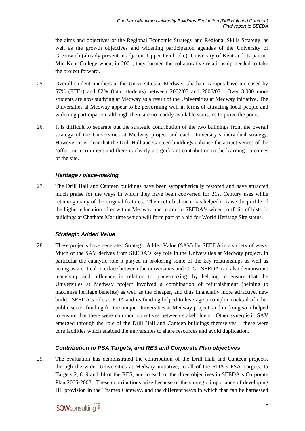the aims and objectives of the Regional Economic Strategy and Regional Skills Strategy, as well as the growth objectives and widening participation agendas of the University of Greenwich (already present in adjacent Upper Pembroke), University of Kent and its partner Mid Kent College when, in 2001, they formed the collaborative relationship needed to take the project forward.

- 25. Overall student numbers at the Universities at Medway Chatham campus have increased by 57% (FTEs) and 82% (total students) between 2002/03 and 2006/07. Over 3,000 more students are now studying at Medway as a result of the Universities at Medway initiative. The Universities at Medway appear to be performing well in terms of attracting local people and widening participation, although there are no readily available statistics to prove the point.
- 26. It is difficult to separate out the strategic contribution of the two buildings from the overall strategy of the Universities at Medway project and each University's individual strategy. However, it is clear that the Drill Hall and Canteen buildings enhance the attractiveness of the 'offer' in recruitment and there is clearly a significant contribution to the learning outcomes of the site.

#### *Heritage / place-making*

27. The Drill Hall and Canteen buildings have been sympathetically restored and have attracted much praise for the ways in which they have been converted for 21st Century uses while retaining many of the original features. Their refurbishment has helped to raise the profile of the higher education offer within Medway and to add to SEEDA's wider portfolio of historic buildings at Chatham Maritime which will form part of a bid for World Heritage Site status.

#### *Strategic Added Value*

28. These projects have generated Strategic Added Value (SAV) for SEEDA in a variety of ways. Much of the SAV derives from SEEDA's key role in the Universities at Medway project, in particular the catalytic role it played in brokering some of the key relationships as well as acting as a critical interface between the universities and CLG. SEEDA can also demonstrate leadership and influence in relation to place-making, by helping to ensure that the Universities at Medway project involved a combination of refurbishment (helping to maximise heritage benefits) as well as the cheaper, and thus financially more attractive, new build. SEEDA's role as RDA and its funding helped to leverage a complex cocktail of other public sector funding for the unique Universities at Medway project, and in doing so it helped to ensure that there were common objectives between stakeholders. Other synergistic SAV emerged through the role of the Drill Hall and Canteen buildings themselves – these were core facilities which enabled the universities to share resources and avoid duplication.

#### *Contribution to PSA Targets, and RES and Corporate Plan objectives*

29. The evaluation has demonstrated the contribution of the Drill Hall and Canteen projects, through the wider Universities at Medway initiative, to all of the RDA's PSA Targets, to Targets 2, 6, 9 and 14 of the RES, and to each of the three objectives in SEEDA's Corporate Plan 2005-2008. These contributions arise because of the strategic importance of developing HE provision in the Thames Gateway, and the different ways in which that can be harnessed

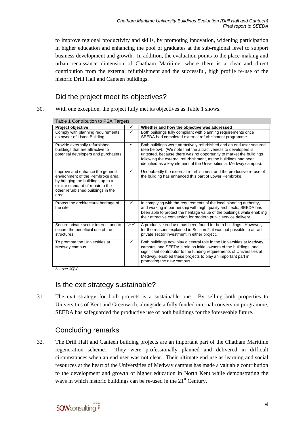to improve regional productivity and skills, by promoting innovation, widening participation in higher education and enhancing the pool of graduates at the sub-regional level to support business development and growth. In addition, the evaluation points to the place-making and urban renaissance dimension of Chatham Maritime, where there is a clear and direct contribution from the external refurbishment and the successful, high profile re-use of the historic Drill Hall and Canteen buildings.

### Did the project meet its objectives?

<span id="page-7-0"></span>30. With one exception, the project fully met its objectives as [Table 1](#page-7-0) shows.

| Table 1 Contribution to PSA Targets<br>Project objective                                                                                                                                    |                            | Whether and how the objective was addressed                                                                                                                                                                                                                                                                                                           |
|---------------------------------------------------------------------------------------------------------------------------------------------------------------------------------------------|----------------------------|-------------------------------------------------------------------------------------------------------------------------------------------------------------------------------------------------------------------------------------------------------------------------------------------------------------------------------------------------------|
| Comply with planning requirements<br>as owner of Listed Building                                                                                                                            | ✓                          | Both buildings fully compliant with planning requirements once<br>SEEDA had completed external refurbishment programme.                                                                                                                                                                                                                               |
| Provide externally refurbished<br>buildings that are attractive to<br>potential developers and purchasers                                                                                   | $\checkmark$               | Both buildings were attractively refurbished and an end user secured<br>(see below). (We note that the attractiveness to developers is<br>untested, because there was no opportunity to market the buildings<br>following the external refurbishment, as the buildings had been<br>identified as a key element of the Universities at Medway campus). |
| Improve and enhance the general<br>environment of the Pembroke area<br>by bringing the buildings up to a<br>similar standard of repair to the<br>other refurbished buildings in the<br>area | ✓                          | Undoubtedly the external refurbishment and the productive re-use of<br>the building has enhanced this part of Lower Pembroke.                                                                                                                                                                                                                         |
| Protect the architectural heritage of<br>the site                                                                                                                                           | $\checkmark$               | In complying with the requirements of the local planning authority,<br>and working in partnership with high quality architects, SEEDA has<br>been able to protect the heritage value of the buildings while enabling<br>their attractive conversion for modern public service delivery.                                                               |
| Secure private sector interest and to<br>secure the beneficial use of the<br>structures                                                                                                     | $\frac{1}{2}$ $\checkmark$ | A productive end use has been found for both buildings. However,<br>for the reasons explained in Section 2, it was not possible to attract<br>private sector investment in either project.                                                                                                                                                            |
| To promote the Universities at<br>Medway campus                                                                                                                                             | ✓                          | Both buildings now play a central role in the Universities at Medway<br>campus, and SEEDA's role as initial owners of the buildings, and<br>significant contributor to the funding requirements of Universities at<br>Medway, enabled these projects to play an important part in<br>promoting the new campus.                                        |

*Source: SQW* 

### Is the exit strategy sustainable?

31. The exit strategy for both projects is a sustainable one. By selling both properties to Universities of Kent and Greenwich, alongside a fully funded internal conversion programme, SEEDA has safeguarded the productive use of both buildings for the foreseeable future.

### Concluding remarks

32. The Drill Hall and Canteen building projects are an important part of the Chatham Maritime regeneration scheme. They were professionally planned and delivered in difficult circumstances when an end user was not clear. Their ultimate end use as learning and social resources at the heart of the Universities of Medway campus has made a valuable contribution to the development and growth of higher education in North Kent while demonstrating the ways in which historic buildings can be re-used in the  $21<sup>st</sup>$  Century.

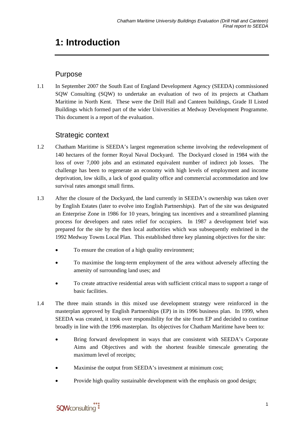## <span id="page-8-0"></span>**1: Introduction**

### Purpose

1.1 In September 2007 the South East of England Development Agency (SEEDA) commissioned SQW Consulting (SQW) to undertake an evaluation of two of its projects at Chatham Maritime in North Kent. These were the Drill Hall and Canteen buildings, Grade II Listed Buildings which formed part of the wider Universities at Medway Development Programme. This document is a report of the evaluation.

### Strategic context

- 1.2 Chatham Maritime is SEEDA's largest regeneration scheme involving the redevelopment of 140 hectares of the former Royal Naval Dockyard. The Dockyard closed in 1984 with the loss of over 7,000 jobs and an estimated equivalent number of indirect job losses. The challenge has been to regenerate an economy with high levels of employment and income deprivation, low skills, a lack of good quality office and commercial accommodation and low survival rates amongst small firms.
- 1.3 After the closure of the Dockyard, the land currently in SEEDA's ownership was taken over by English Estates (later to evolve into English Partnerships). Part of the site was designated an Enterprise Zone in 1986 for 10 years, bringing tax incentives and a streamlined planning process for developers and rates relief for occupiers. In 1987 a development brief was prepared for the site by the then local authorities which was subsequently enshrined in the 1992 Medway Towns Local Plan. This established three key planning objectives for the site:
	- To ensure the creation of a high quality environment;
	- To maximise the long-term employment of the area without adversely affecting the amenity of surrounding land uses; and
	- To create attractive residential areas with sufficient critical mass to support a range of basic facilities.
- 1.4 The three main strands in this mixed use development strategy were reinforced in the masterplan approved by English Partnerships (EP) in its 1996 business plan. In 1999, when SEEDA was created, it took over responsibility for the site from EP and decided to continue broadly in line with the 1996 masterplan. Its objectives for Chatham Maritime have been to:
	- Bring forward development in ways that are consistent with SEEDA's Corporate Aims and Objectives and with the shortest feasible timescale generating the maximum level of receipts;
	- Maximise the output from SEEDA's investment at minimum cost;
	- Provide high quality sustainable development with the emphasis on good design;

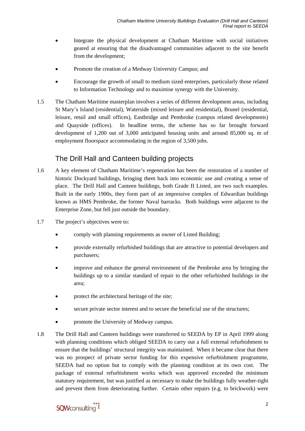- Integrate the physical development at Chatham Maritime with social initiatives geared at ensuring that the disadvantaged communities adjacent to the site benefit from the development;
- Promote the creation of a Medway University Campus; and
- Encourage the growth of small to medium sized enterprises, particularly those related to Information Technology and to maximise synergy with the University.
- 1.5 The Chatham Maritime masterplan involves a series of different development areas, including St Mary's Island (residential), Waterside (mixed leisure and residential), Brunel (residential, leisure, retail and small offices), Eastbridge and Pembroke (campus related developments) and Quayside (offices). In headline terms, the scheme has so far brought forward development of 1,200 out of 3,000 anticipated housing units and around 85,000 sq. m of employment floorspace accommodating in the region of 3,500 jobs.

### The Drill Hall and Canteen building projects

- 1.6 A key element of Chatham Maritime's regeneration has been the restoration of a number of historic Dockyard buildings, bringing them back into economic use and creating a sense of place. The Drill Hall and Canteen buildings, both Grade II Listed, are two such examples. Built in the early 1900s, they form part of an impressive complex of Edwardian buildings known as HMS Pembroke, the former Naval barracks. Both buildings were adjacent to the Enterprise Zone, but fell just outside the boundary.
- 1.7 The project's objectives were to:
	- comply with planning requirements as owner of Listed Building;
	- provide externally refurbished buildings that are attractive to potential developers and purchasers;
	- improve and enhance the general environment of the Pembroke area by bringing the buildings up to a similar standard of repair to the other refurbished buildings in the area;
	- protect the architectural heritage of the site;
	- secure private sector interest and to secure the beneficial use of the structures;
	- promote the University of Medway campus.
- 1.8 The Drill Hall and Canteen buildings were transferred to SEEDA by EP in April 1999 along with planning conditions which obliged SEEDA to carry out a full external refurbishment to ensure that the buildings' structural integrity was maintained. When it became clear that there was no prospect of private sector funding for this expensive refurbishment programme, SEEDA had no option but to comply with the planning condition at its own cost. The package of external refurbishment works which was approved exceeded the minimum statutory requirement, but was justified as necessary to make the buildings fully weather-tight and prevent them from deteriorating further. Certain other repairs (e.g. to brickwork) were

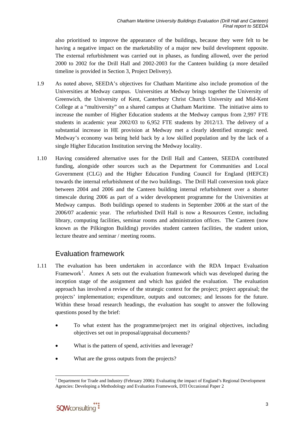also prioritised to improve the appearance of the buildings, because they were felt to be having a negative impact on the marketability of a major new build development opposite. The external refurbishment was carried out in phases, as funding allowed, over the period 2000 to 2002 for the Drill Hall and 2002-2003 for the Canteen building (a more detailed timeline is provided in Section 3, Project Delivery).

- 1.9 As noted above, SEEDA's objectives for Chatham Maritime also include promotion of the Universities at Medway campus. Universities at Medway brings together the University of Greenwich, the University of Kent, Canterbury Christ Church University and Mid-Kent College at a "multiversity" on a shared campus at Chatham Maritime. The initiative aims to increase the number of Higher Education students at the Medway campus from 2,997 FTE students in academic year 2002/03 to 6,952 FTE students by 2012/13. The delivery of a substantial increase in HE provision at Medway met a clearly identified strategic need. Medway's economy was being held back by a low skilled population and by the lack of a single Higher Education Institution serving the Medway locality.
- 1.10 Having considered alternative uses for the Drill Hall and Canteen, SEEDA contributed funding, alongside other sources such as the Department for Communities and Local Government (CLG) and the Higher Education Funding Council for England (HEFCE) towards the internal refurbishment of the two buildings. The Drill Hall conversion took place between 2004 and 2006 and the Canteen building internal refurbishment over a shorter timescale during 2006 as part of a wider development programme for the Universities at Medway campus. Both buildings opened to students in September 2006 at the start of the 2006/07 academic year. The refurbished Drill Hall is now a Resources Centre, including library, computing facilities, seminar rooms and administration offices. The Canteen (now known as the Pilkington Building) provides student canteen facilities, the student union, lecture theatre and seminar / meeting rooms.

### Evaluation framework

- 1.11 The evaluation has been undertaken in accordance with the RDA Impact Evaluation Framework<sup>[1](#page-10-0)</sup>. Annex A sets out the evaluation framework which was developed during the inception stage of the assignment and which has guided the evaluation. The evaluation approach has involved a review of the strategic context for the project; project appraisal; the projects' implementation; expenditure, outputs and outcomes; and lessons for the future. Within these broad research headings, the evaluation has sought to answer the following questions posed by the brief:
	- To what extent has the programme/project met its original objectives, including objectives set out in proposal/appraisal documents?
	- What is the pattern of spend, activities and leverage?
	- What are the gross outputs from the projects?

<span id="page-10-0"></span>l <sup>1</sup> Department for Trade and Industry (February 2006): Evaluating the impact of England's Regional Development Agencies: Developing a Methodology and Evaluation Framework, DTI Occasional Paper 2

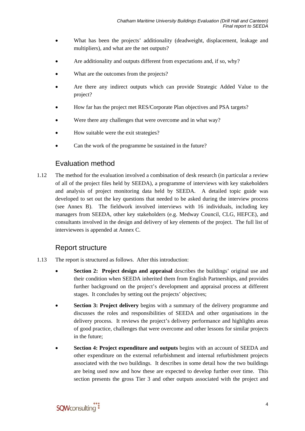- What has been the projects' additionality (deadweight, displacement, leakage and multipliers), and what are the net outputs?
- Are additionality and outputs different from expectations and, if so, why?
- What are the outcomes from the projects?
- Are there any indirect outputs which can provide Strategic Added Value to the project?
- How far has the project met RES/Corporate Plan objectives and PSA targets?
- Were there any challenges that were overcome and in what way?
- How suitable were the exit strategies?
- Can the work of the programme be sustained in the future?

### Evaluation method

1.12 The method for the evaluation involved a combination of desk research (in particular a review of all of the project files held by SEEDA), a programme of interviews with key stakeholders and analysis of project monitoring data held by SEEDA. A detailed topic guide was developed to set out the key questions that needed to be asked during the interview process (see Annex B). The fieldwork involved interviews with 16 individuals, including key managers from SEEDA, other key stakeholders (e.g. Medway Council, CLG, HEFCE), and consultants involved in the design and delivery of key elements of the project. The full list of interviewees is appended at Annex C.

#### Report structure

- 1.13 The report is structured as follows. After this introduction:
	- **Section 2: Project design and appraisal describes the buildings' original use and** their condition when SEEDA inherited them from English Partnerships, and provides further background on the project's development and appraisal process at different stages. It concludes by setting out the projects' objectives;
	- **Section 3: Project delivery** begins with a summary of the delivery programme and discusses the roles and responsibilities of SEEDA and other organisations in the delivery process. It reviews the project's delivery performance and highlights areas of good practice, challenges that were overcome and other lessons for similar projects in the future;
	- **Section 4: Project expenditure and outputs** begins with an account of SEEDA and other expenditure on the external refurbishment and internal refurbishment projects associated with the two buildings. It describes in some detail how the two buildings are being used now and how these are expected to develop further over time. This section presents the gross Tier 3 and other outputs associated with the project and

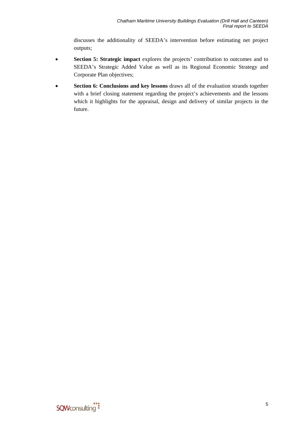discusses the additionality of SEEDA's intervention before estimating net project outputs;

- **Section 5: Strategic impact** explores the projects' contribution to outcomes and to SEEDA's Strategic Added Value as well as its Regional Economic Strategy and Corporate Plan objectives;
- Section 6: Conclusions and key lessons draws all of the evaluation strands together with a brief closing statement regarding the project's achievements and the lessons which it highlights for the appraisal, design and delivery of similar projects in the future.

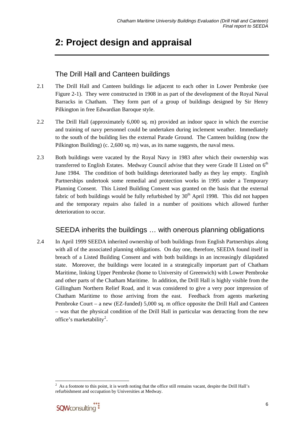## <span id="page-13-0"></span>**2: Project design and appraisal**

### The Drill Hall and Canteen buildings

- 2.1 The Drill Hall and Canteen buildings lie adjacent to each other in Lower Pembroke (see Figure 2-1). They were constructed in 1908 in as part of the development of the Royal Naval Barracks in Chatham. They form part of a group of buildings designed by Sir Henry Pilkington in free Edwardian Baroque style.
- 2.2 The Drill Hall (approximately 6,000 sq. m) provided an indoor space in which the exercise and training of navy personnel could be undertaken during inclement weather. Immediately to the south of the building lies the external Parade Ground. The Canteen building (now the Pilkington Building) (c. 2,600 sq. m) was, as its name suggests, the naval mess.
- 2.3 Both buildings were vacated by the Royal Navy in 1983 after which their ownership was transferred to English Estates. Medway Council advise that they were Grade II Listed on  $6<sup>th</sup>$ June 1984. The condition of both buildings deteriorated badly as they lay empty. English Partnerships undertook some remedial and protection works in 1995 under a Temporary Planning Consent. This Listed Building Consent was granted on the basis that the external fabric of both buildings would be fully refurbished by  $30<sup>th</sup>$  April 1998. This did not happen and the temporary repairs also failed in a number of positions which allowed further deterioration to occur.

### SEEDA inherits the buildings … with onerous planning obligations

2.4 In April 1999 SEEDA inherited ownership of both buildings from English Partnerships along with all of the associated planning obligations. On day one, therefore, SEEDA found itself in breach of a Listed Building Consent and with both buildings in an increasingly dilapidated state. Moreover, the buildings were located in a strategically important part of Chatham Maritime, linking Upper Pembroke (home to University of Greenwich) with Lower Pembroke and other parts of the Chatham Maritime. In addition, the Drill Hall is highly visible from the Gillingham Northern Relief Road, and it was considered to give a very poor impression of Chatham Maritime to those arriving from the east. Feedback from agents marketing Pembroke Court – a new (EZ-funded) 5,000 sq. m office opposite the Drill Hall and Canteen – was that the physical condition of the Drill Hall in particular was detracting from the new office's marketability<sup>[2](#page-13-0)</sup>.

l  $2^2$  As a footnote to this point, it is worth noting that the office still remains vacant, despite the Drill Hall's refurbishment and occupation by Universities at Medway.

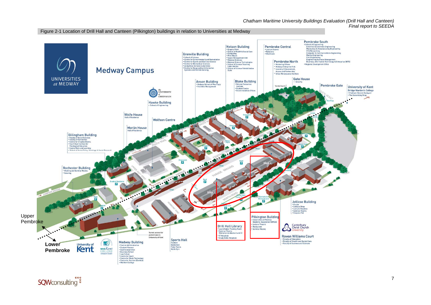#### Figure 2-1 Location of Drill Hall and Canteen (Pilkington) buildings in relation to Universities at Medway

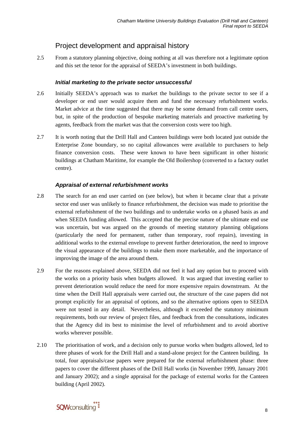### Project development and appraisal history

2.5 From a statutory planning objective, doing nothing at all was therefore not a legitimate option and this set the tenor for the appraisal of SEEDA's investment in both buildings.

#### *Initial marketing to the private sector unsuccessful*

- 2.6 Initially SEEDA's approach was to market the buildings to the private sector to see if a developer or end user would acquire them and fund the necessary refurbishment works. Market advice at the time suggested that there may be some demand from call centre users, but, in spite of the production of bespoke marketing materials and proactive marketing by agents, feedback from the market was that the conversion costs were too high.
- 2.7 It is worth noting that the Drill Hall and Canteen buildings were both located just outside the Enterprise Zone boundary, so no capital allowances were available to purchasers to help finance conversion costs. These were known to have been significant in other historic buildings at Chatham Maritime, for example the Old Boilershop (converted to a factory outlet centre).

#### *Appraisal of external refurbishment works*

- 2.8 The search for an end user carried on (see below), but when it became clear that a private sector end user was unlikely to finance refurbishment, the decision was made to prioritise the external refurbishment of the two buildings and to undertake works on a phased basis as and when SEEDA funding allowed. This accepted that the precise nature of the ultimate end use was uncertain, but was argued on the grounds of meeting statutory planning obligations (particularly the need for permanent, rather than temporary, roof repairs), investing in additional works to the external envelope to prevent further deterioration, the need to improve the visual appearance of the buildings to make them more marketable, and the importance of improving the image of the area around them.
- 2.9 For the reasons explained above, SEEDA did not feel it had any option but to proceed with the works on a priority basis when budgets allowed. It was argued that investing earlier to prevent deterioration would reduce the need for more expensive repairs downstream. At the time when the Drill Hall appraisals were carried out, the structure of the case papers did not prompt explicitly for an appraisal of options, and so the alternative options open to SEEDA were not tested in any detail. Nevertheless, although it exceeded the statutory minimum requirements, both our review of project files, and feedback from the consultations, indicates that the Agency did its best to minimise the level of refurbishment and to avoid abortive works wherever possible.
- 2.10 The prioritisation of work, and a decision only to pursue works when budgets allowed, led to three phases of work for the Drill Hall and a stand-alone project for the Canteen building. In total, four appraisals/case papers were prepared for the external refurbishment phase: three papers to cover the different phases of the Drill Hall works (in November 1999, January 2001 and January 2002); and a single appraisal for the package of external works for the Canteen building (April 2002).

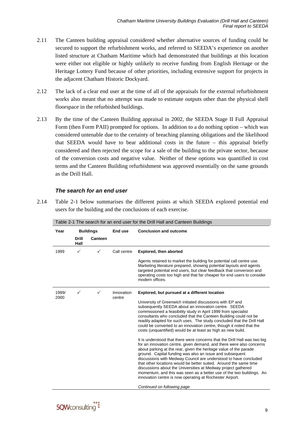- 2.11 The Canteen building appraisal considered whether alternative sources of funding could be secured to support the refurbishment works, and referred to SEEDA's experience on another listed structure at Chatham Maritime which had demonstrated that buildings at this location were either not eligible or highly unlikely to receive funding from English Heritage or the Heritage Lottery Fund because of other priorities, including extensive support for projects in the adjacent Chatham Historic Dockyard.
- 2.12 The lack of a clear end user at the time of all of the appraisals for the external refurbishment works also meant that no attempt was made to estimate outputs other than the physical shell floorspace in the refurbished buildings.
- 2.13 By the time of the Canteen Building appraisal in 2002, the SEEDA Stage II Full Appraisal Form (then Form PAII) prompted for options. In addition to a do nothing option – which was considered untenable due to the certainty of breaching planning obligations and the likelihood that SEEDA would have to bear additional costs in the future – this appraisal briefly considered and then rejected the scope for a sale of the building to the private sector, because of the conversion costs and negative value. Neither of these options was quantified in cost terms and the Canteen Building refurbishment was approved essentially on the same grounds as the Drill Hall.

#### *The search for an end user*

<span id="page-16-0"></span>2.14 [Table 2-1](#page-16-0) below summarises the different points at which SEEDA explored potential end users for the building and the conclusions of each exercise.

| Table 2-1 The search for an end user for the Drill Hall and Canteen Buildings |         |                      |                                                                                                                                                                                                                                                                                                                                                                                                                                                                                                                                                                                                                                                                                                                                                                                                                                                                                                                                                                                                                                                                                                                                                                                               |  |
|-------------------------------------------------------------------------------|---------|----------------------|-----------------------------------------------------------------------------------------------------------------------------------------------------------------------------------------------------------------------------------------------------------------------------------------------------------------------------------------------------------------------------------------------------------------------------------------------------------------------------------------------------------------------------------------------------------------------------------------------------------------------------------------------------------------------------------------------------------------------------------------------------------------------------------------------------------------------------------------------------------------------------------------------------------------------------------------------------------------------------------------------------------------------------------------------------------------------------------------------------------------------------------------------------------------------------------------------|--|
| <b>Buildings</b><br>Year<br>End use                                           |         |                      | <b>Conclusion and outcome</b>                                                                                                                                                                                                                                                                                                                                                                                                                                                                                                                                                                                                                                                                                                                                                                                                                                                                                                                                                                                                                                                                                                                                                                 |  |
| <b>Drill</b><br>Hall                                                          | Canteen |                      |                                                                                                                                                                                                                                                                                                                                                                                                                                                                                                                                                                                                                                                                                                                                                                                                                                                                                                                                                                                                                                                                                                                                                                                               |  |
| $\checkmark$                                                                  | ✓       | Call centre          | <b>Explored, then aborted</b>                                                                                                                                                                                                                                                                                                                                                                                                                                                                                                                                                                                                                                                                                                                                                                                                                                                                                                                                                                                                                                                                                                                                                                 |  |
|                                                                               |         |                      | Agents retained to market the building for potential call centre use.<br>Marketing literature prepared, showing potential layouts and agents<br>targeted potential end users, but clear feedback that conversion and<br>operating costs too high and that far cheaper for end users to consider<br>modern offices.                                                                                                                                                                                                                                                                                                                                                                                                                                                                                                                                                                                                                                                                                                                                                                                                                                                                            |  |
| $\checkmark$                                                                  | ✓       | Innovation<br>centre | Explored, but pursued at a different location<br>University of Greenwich initiated discussions with EP and<br>subsequently SEEDA about an innovation centre. SEEDA<br>commissioned a feasibility study in April 1999 from specialist<br>consultants who concluded that the Canteen Building could not be<br>readily adapted for such uses. The study concluded that the Drill Hall<br>could be converted to an innovation centre, though it noted that the<br>costs (unquantified) would be at least as high as new build.<br>It is understood that there were concerns that the Drill Hall was two big<br>for an innovation centre, given demand, and there were also concerns<br>about parking at the rear, given the heritage value of the parade<br>ground. Capital funding was also an issue and subsequent<br>discussions with Medway Council are understood to have concluded<br>that other locations would be better suited. Around the same time<br>discussions about the Universities at Medway project gathered<br>momentum, and this was seen as a better use of the two buildings. An<br>innovation centre is now operating at Rochester Airport.<br>Continued on following page |  |
|                                                                               |         |                      |                                                                                                                                                                                                                                                                                                                                                                                                                                                                                                                                                                                                                                                                                                                                                                                                                                                                                                                                                                                                                                                                                                                                                                                               |  |

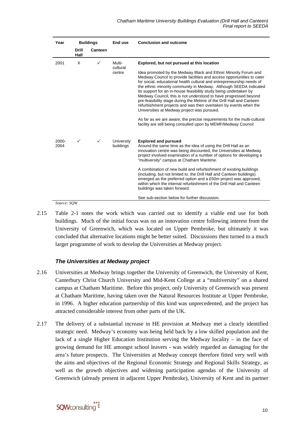| Year             |                      | <b>Buildings</b> | End use                 | <b>Conclusion and outcome</b>                                                                                                                                                                                                                                                                                                                                                                                                                                                                                                                                                                                                  |  |
|------------------|----------------------|------------------|-------------------------|--------------------------------------------------------------------------------------------------------------------------------------------------------------------------------------------------------------------------------------------------------------------------------------------------------------------------------------------------------------------------------------------------------------------------------------------------------------------------------------------------------------------------------------------------------------------------------------------------------------------------------|--|
|                  | <b>Drill</b><br>Hall | Canteen          |                         |                                                                                                                                                                                                                                                                                                                                                                                                                                                                                                                                                                                                                                |  |
| 2001             | X                    | $\checkmark$     | Multi-<br>cultural      | Explored, but not pursued at this location                                                                                                                                                                                                                                                                                                                                                                                                                                                                                                                                                                                     |  |
|                  |                      |                  | centre                  | Idea promoted by the Medway Black and Ethnic Minority Forum and<br>Medway Council to provide facilities and access opportunities to cater<br>for social, educational health cultural and entrepreneurship needs of<br>the ethnic minority community in Medway. Although SEEDA indicated<br>its support for an in-house feasibility study being undertaken by<br>Medway Council, this is not understood to have progressed beyond<br>pre-feasibility stage during the lifetime of the Drill Hall and Canteen<br>refurbishment projects and was then overtaken by events when the<br>Universities at Medway project was pursued. |  |
|                  |                      |                  |                         | As far as we are aware, the precise requirements for the multi-cultural<br>facility are still being consulted upon by MEMF/Medway Council                                                                                                                                                                                                                                                                                                                                                                                                                                                                                      |  |
| $2000 -$<br>2004 | ✓                    | $\checkmark$     | University<br>buildings | <b>Explored and pursued</b><br>Around the same time as the idea of using the Drill Hall as an<br>innovation centre was being discounted, the Universities at Medway<br>project involved examination of a number of options for developing a<br>"multiversity" campus at Chatham Maritime.                                                                                                                                                                                                                                                                                                                                      |  |
|                  |                      |                  |                         | A combination of new build and refurbishment of existing buildings<br>(including, but not limited to, the Drill Hall and Canteen buildings)<br>emerged as the preferred option and a £50m project was approved.<br>within which the internal refurbishment of the Drill Hall and Canteen<br>buildings was taken forward.                                                                                                                                                                                                                                                                                                       |  |
|                  |                      |                  |                         | See sub-section below for further discussion.                                                                                                                                                                                                                                                                                                                                                                                                                                                                                                                                                                                  |  |

*Source: SQW* 

2.15 [Table 2-1](#page-16-0) notes the work which was carried out to identify a viable end use for both buildings. Much of the initial focus was on an innovation centre following interest from the University of Greenwich, which was located on Upper Pembroke, but ultimately it was concluded that alternative locations might be better suited. Discussions then turned to a much larger programme of work to develop the Universities at Medway project.

#### *The Universities at Medway project*

- 2.16 Universities at Medway brings together the University of Greenwich, the University of Kent, Canterbury Christ Church University and Mid-Kent College at a "multiversity" on a shared campus at Chatham Maritime. Before this project, only University of Greenwich was present at Chatham Maritime, having taken over the Natural Resources Institute at Upper Pembroke, in 1996. A higher education partnership of this kind was unprecedented, and the project has attracted considerable interest from other parts of the UK.
- 2.17 The delivery of a substantial increase in HE provision at Medway met a clearly identified strategic need. Medway's economy was being held back by a low skilled population and the lack of a single Higher Education Institution serving the Medway locality – in the face of growing demand for HE amongst school leavers - was widely regarded as damaging for the area's future prospects. The Universities at Medway concept therefore fitted very well with the aims and objectives of the Regional Economic Strategy and Regional Skills Strategy, as well as the growth objectives and widening participation agendas of the University of Greenwich (already present in adjacent Upper Pembroke), University of Kent and its partner

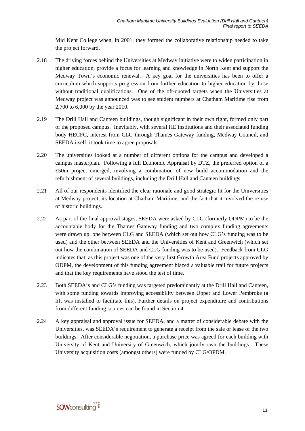Mid Kent College when, in 2001, they formed the collaborative relationship needed to take the project forward.

- 2.18 The driving forces behind the Universities at Medway initiative were to widen participation in higher education, provide a focus for learning and knowledge in North Kent and support the Medway Town's economic renewal. A key goal for the universities has been to offer a curriculum which supports progression from further education to higher education by those without traditional qualifications. One of the oft-quoted targets when the Universities at Medway project was announced was to see student numbers at Chatham Maritime rise from 2,700 to 6,000 by the year 2010.
- 2.19 The Drill Hall and Canteen buildings, though significant in their own right, formed only part of the proposed campus. Inevitably, with several HE institutions and their associated funding body HECFC, interest from CLG through Thames Gateway funding, Medway Council, and SEEDA itself, it took time to agree proposals.
- 2.20 The universities looked at a number of different options for the campus and developed a campus masterplan. Following a full Economic Appraisal by DTZ, the preferred option of a £50m project emerged, involving a combination of new build accommodation and the refurbishment of several buildings, including the Drill Hall and Canteen buildings.
- 2.21 All of our respondents identified the clear rationale and good strategic fit for the Universities at Medway project, its location at Chatham Maritime, and the fact that it involved the re-use of historic buildings.
- 2.22 As part of the final approval stages, SEEDA were asked by CLG (formerly ODPM) to be the accountable body for the Thames Gateway funding and two complex funding agreements were drawn up: one between CLG and SEEDA (which set out how CLG's funding was to be used) and the other between SEEDA and the Universities of Kent and Greenwich (which set out how the combination of SEEDA and CLG funding was to be used). Feedback from CLG indicates that, as this project was one of the very first Growth Area Fund projects approved by ODPM, the development of this funding agreement blazed a valuable trail for future projects and that the key requirements have stood the test of time.
- 2.23 Both SEEDA's and CLG's funding was targeted predominantly at the Drill Hall and Canteen, with some funding towards improving accessibility between Upper and Lower Pembroke (a lift was installed to facilitate this). Further details on project expenditure and contributions from different funding sources can be found in Section 4.
- 2.24 A key appraisal and approval issue for SEEDA, and a matter of considerable debate with the Universities, was SEEDA's requirement to generate a receipt from the sale or lease of the two buildings. After considerable negotiation, a purchase price was agreed for each building with University of Kent and University of Greenwich, which jointly own the buildings. These University acquisition costs (amongst others) were funded by CLG/OPDM.

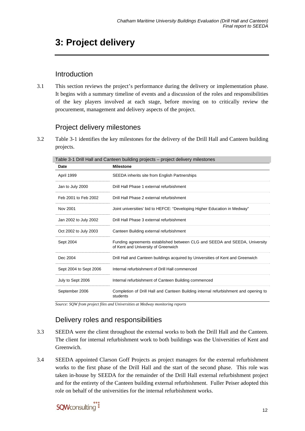## <span id="page-19-0"></span>**3: Project delivery**

### Introduction

3.1 This section reviews the project's performance during the delivery or implementation phase. It begins with a summary timeline of events and a discussion of the roles and responsibilities of the key players involved at each stage, before moving on to critically review the procurement, management and delivery aspects of the project.

### Project delivery milestones

<span id="page-19-1"></span>3.2 [Table 3-1](#page-19-1) identifies the key milestones for the delivery of the Drill Hall and Canteen building projects.

| Date                   | <b>Milestone</b>                                                                                                  |
|------------------------|-------------------------------------------------------------------------------------------------------------------|
| April 1999             | SEEDA inherits site from English Partnerships                                                                     |
| Jan to July 2000       | Drill Hall Phase 1 external refurbishment                                                                         |
| Feb 2001 to Feb 2002   | Drill Hall Phase 2 external refurbishment                                                                         |
| Nov 2001               | Joint universities' bid to HEFCE: "Developing Higher Education in Medway"                                         |
| Jan 2002 to July 2002  | Drill Hall Phase 3 external refurbishment                                                                         |
| Oct 2002 to July 2003  | Canteen Building external refurbishment                                                                           |
| Sept 2004              | Funding agreements established between CLG and SEEDA and SEEDA, University<br>of Kent and University of Greenwich |
| Dec 2004               | Drill Hall and Canteen buildings acquired by Universities of Kent and Greenwich                                   |
| Sept 2004 to Sept 2006 | Internal refurbishment of Drill Hall commenced                                                                    |
| July to Sept 2006      | Internal refurbishment of Canteen Building commenced                                                              |
| September 2006         | Completion of Drill Hall and Canteen Building internal refurbishment and opening to<br>students                   |

*Source: SQW from project files and Universities at Medway monitoring reports* 

### Delivery roles and responsibilities

- 3.3 SEEDA were the client throughout the external works to both the Drill Hall and the Canteen. The client for internal refurbishment work to both buildings was the Universities of Kent and Greenwich.
- 3.4 SEEDA appointed Clarson Goff Projects as project managers for the external refurbishment works to the first phase of the Drill Hall and the start of the second phase. This role was taken in-house by SEEDA for the remainder of the Drill Hall external refurbishment project and for the entirety of the Canteen building external refurbishment. Fuller Peiser adopted this role on behalf of the universities for the internal refurbishment works.

## **SOW**consulting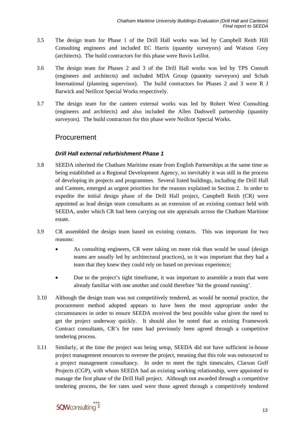- 3.5 The design team for Phase 1 of the Drill Hall works was led by Campbell Reith Hill Consulting engineers and included EC Harris (quantity surveyors) and Watson Grey (architects). The build contractors for this phase were Bovis Leillot.
- 3.6 The design team for Phases 2 and 3 of the Drill Hall works was led by TPS Consult (engineers and architects) and included MDA Group (quantity surveyors) and Schah International (planning supervisor). The build contractors for Phases 2 and 3 were R J Barwick and Neillcot Special Works respectively.
- 3.7 The design team for the canteen external works was led by Robert West Consulting (engineers and architects) and also included the Allen Dadswell partnership (quantity surveyors). The build contractors for this phase were Neillcot Special Works.

### Procurement

#### *Drill Hall external refurbishment Phase 1*

- 3.8 SEEDA inherited the Chatham Maritime estate from English Partnerships at the same time as being established as a Regional Development Agency, so inevitably it was still in the process of developing its projects and programmes. Several listed buildings, including the Drill Hall and Canteen, emerged as urgent priorities for the reasons explained in Section 2. In order to expedite the initial design phase of the Drill Hall project, Campbell Reith (CR) were appointed as lead design team consultants as an extension of an existing contract held with SEEDA, under which CR had been carrying out site appraisals across the Chatham Maritime estate.
- 3.9 CR assembled the design team based on existing contacts. This was important for two reasons:
	- As consulting engineers, CR were taking on more risk than would be usual (design teams are usually led by architectural practices), so it was important that they had a team that they knew they could rely on based on previous experience;
	- Due to the project's tight timeframe, it was important to assemble a team that were already familiar with one another and could therefore 'hit the ground running'.
- 3.10 Although the design team was not competitively tendered, as would be normal practice, the procurement method adopted appears to have been the most appropriate under the circumstances in order to ensure SEEDA received the best possible value given the need to get the project underway quickly. It should also be noted that as existing Framework Contract consultants, CR's fee rates had previously been agreed through a competitive tendering process.
- 3.11 Similarly, at the time the project was being setup, SEEDA did not have sufficient in-house project management resources to oversee the project, meaning that this role was outsourced to a project management consultancy. In order to meet the tight timescales, Clarson Goff Projects (CGP), with whom SEEDA had an existing working relationship, were appointed to manage the first phase of the Drill Hall project. Although not awarded through a competitive tendering process, the fee rates used were those agreed through a competitively tendered

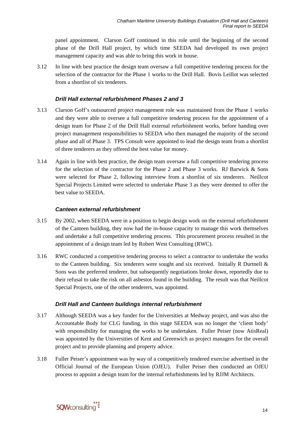panel appointment. Clarson Goff continued in this role until the beginning of the second phase of the Drill Hall project, by which time SEEDA had developed its own project management capacity and was able to bring this work in house.

3.12 In line with best practice the design team oversaw a full competitive tendering process for the selection of the contractor for the Phase 1 works to the Drill Hall. Bovis Leillot was selected from a shortlist of six tenderers.

#### *Drill Hall external refurbishment Phases 2 and 3*

- 3.13 Clarson Goff's outsourced project management role was maintained from the Phase 1 works and they were able to oversee a full competitive tendering process for the appointment of a design team for Phase 2 of the Drill Hall external refurbishment works, before handing over project management responsibilities to SEEDA who then managed the majority of the second phase and all of Phase 3. TPS Consult were appointed to lead the design team from a shortlist of three tenderers as they offered the best value for money.
- 3.14 Again in line with best practice, the design team oversaw a full competitive tendering process for the selection of the contractor for the Phase 2 and Phase 3 works. RJ Barwick & Sons were selected for Phase 2, following interview from a shortlist of six tenderers. Neillcot Special Projects Limited were selected to undertake Phase 3 as they were deemed to offer the best value to SEEDA.

#### *Canteen external refurbishment*

- 3.15 By 2002, when SEEDA were in a position to begin design work on the external refurbishment of the Canteen building, they now had the in-house capacity to manage this work themselves and undertake a full competitive tendering process. This procurement process resulted in the appointment of a design team led by Robert West Consulting (RWC).
- 3.16 RWC conducted a competitive tendering process to select a contractor to undertake the works to the Canteen building. Six tenderers were sought and six received. Initially R Durtnell  $\&$ Sons was the preferred tenderer, but subsequently negotiations broke down, reportedly due to their refusal to take the risk on all asbestos found in the building. The result was that Neillcot Special Projects, one of the other tenderers, was appointed.

#### *Drill Hall and Canteen buildings internal refurbishment*

- 3.17 Although SEEDA was a key funder for the Universities at Medway project, and was also the Accountable Body for CLG funding, in this stage SEEDA was no longer the 'client body' with responsibility for managing the works to be undertaken. Fuller Peiser (now AtisReal) was appointed by the Universities of Kent and Greenwich as project managers for the overall project and to provide planning and property advice.
- 3.18 Fuller Peiser's appointment was by way of a competitively tendered exercise advertised in the Official Journal of the European Union (OJEU). Fuller Peiser then conducted an OJEU process to appoint a design team for the internal refurbishments led by RJJM Architects.

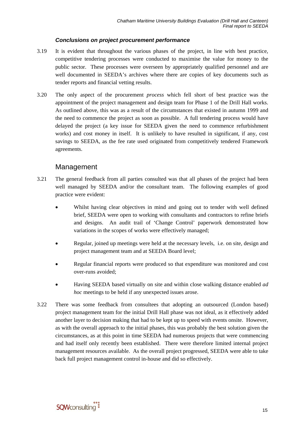#### *Conclusions on project procurement performance*

- 3.19 It is evident that throughout the various phases of the project, in line with best practice, competitive tendering processes were conducted to maximise the value for money to the public sector. These processes were overseen by appropriately qualified personnel and are well documented in SEEDA's archives where there are copies of key documents such as tender reports and financial vetting results.
- 3.20 The only aspect of the procurement *process* which fell short of best practice was the appointment of the project management and design team for Phase 1 of the Drill Hall works. As outlined above, this was as a result of the circumstances that existed in autumn 1999 and the need to commence the project as soon as possible. A full tendering process would have delayed the project (a key issue for SEEDA given the need to commence refurbishment works) and cost money in itself. It is unlikely to have resulted in significant, if any, cost savings to SEEDA, as the fee rate used originated from competitively tendered Framework agreements.

#### Management

- 3.21 The general feedback from all parties consulted was that all phases of the project had been well managed by SEEDA and/or the consultant team. The following examples of good practice were evident:
	- Whilst having clear objectives in mind and going out to tender with well defined brief, SEEDA were open to working with consultants and contractors to refine briefs and designs. An audit trail of 'Change Control' paperwork demonstrated how variations in the scopes of works were effectively managed;
	- Regular, joined up meetings were held at the necessary levels, i.e. on site, design and project management team and at SEEDA Board level;
	- Regular financial reports were produced so that expenditure was monitored and cost over-runs avoided;
	- Having SEEDA based virtually on site and within close walking distance enabled *ad hoc* meetings to be held if any unexpected issues arose.
- 3.22 There was some feedback from consultees that adopting an outsourced (London based) project management team for the initial Drill Hall phase was not ideal, as it effectively added another layer to decision making that had to be kept up to speed with events onsite. However, as with the overall approach to the initial phases, this was probably the best solution given the circumstances, as at this point in time SEEDA had numerous projects that were commencing and had itself only recently been established. There were therefore limited internal project management resources available. As the overall project progressed, SEEDA were able to take back full project management control in-house and did so effectively.

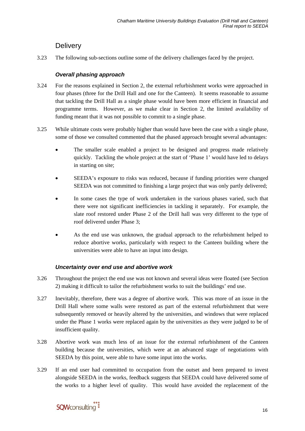### **Delivery**

3.23 The following sub-sections outline some of the delivery challenges faced by the project.

#### *Overall phasing approach*

- 3.24 For the reasons explained in Section 2, the external refurbishment works were approached in four phases (three for the Drill Hall and one for the Canteen). It seems reasonable to assume that tackling the Drill Hall as a single phase would have been more efficient in financial and programme terms. However, as we make clear in Section 2, the limited availability of funding meant that it was not possible to commit to a single phase.
- 3.25 While ultimate costs were probably higher than would have been the case with a single phase, some of those we consulted commented that the phased approach brought several advantages:
	- The smaller scale enabled a project to be designed and progress made relatively quickly. Tackling the whole project at the start of 'Phase 1' would have led to delays in starting on site;
	- SEEDA's exposure to risks was reduced, because if funding priorities were changed SEEDA was not committed to finishing a large project that was only partly delivered;
	- In some cases the type of work undertaken in the various phases varied, such that there were not significant inefficiencies in tackling it separately. For example, the slate roof restored under Phase 2 of the Drill hall was very different to the type of roof delivered under Phase 3;
	- As the end use was unknown, the gradual approach to the refurbishment helped to reduce abortive works, particularly with respect to the Canteen building where the universities were able to have an input into design.

#### *Uncertainty over end use and abortive work*

- 3.26 Throughout the project the end use was not known and several ideas were floated (see Section 2) making it difficult to tailor the refurbishment works to suit the buildings' end use.
- 3.27 Inevitably, therefore, there was a degree of abortive work. This was more of an issue in the Drill Hall where some walls were restored as part of the external refurbishment that were subsequently removed or heavily altered by the universities, and windows that were replaced under the Phase 1 works were replaced again by the universities as they were judged to be of insufficient quality.
- 3.28 Abortive work was much less of an issue for the external refurbishment of the Canteen building because the universities, which were at an advanced stage of negotiations with SEEDA by this point, were able to have some input into the works.
- 3.29 If an end user had committed to occupation from the outset and been prepared to invest alongside SEEDA in the works, feedback suggests that SEEDA could have delivered some of the works to a higher level of quality. This would have avoided the replacement of the

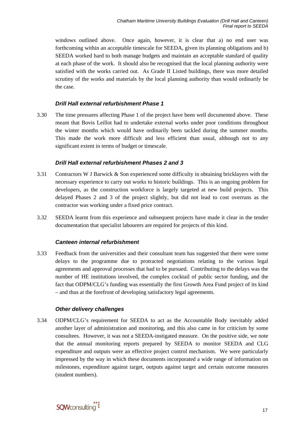windows outlined above. Once again, however, it is clear that a) no end user was forthcoming within an acceptable timescale for SEEDA, given its planning obligations and b) SEEDA worked hard to both manage budgets and maintain an acceptable standard of quality at each phase of the work. It should also be recognised that the local planning authority were satisfied with the works carried out. As Grade II Listed buildings, there was more detailed scrutiny of the works and materials by the local planning authority than would ordinarily be the case.

#### *Drill Hall external refurbishment Phase 1*

3.30 The time pressures affecting Phase 1 of the project have been well documented above. These meant that Bovis Leillot had to undertake external works under poor conditions throughout the winter months which would have ordinarily been tackled during the summer months. This made the work more difficult and less efficient than usual, although not to any significant extent in terms of budget or timescale.

#### *Drill Hall external refurbishment Phases 2 and 3*

- 3.31 Contractors W J Barwick & Son experienced some difficulty in obtaining bricklayers with the necessary experience to carry out works to historic buildings. This is an ongoing problem for developers, as the construction workforce is largely targeted at new build projects. This delayed Phases 2 and 3 of the project slightly, but did not lead to cost overruns as the contractor was working under a fixed price contract.
- 3.32 SEEDA learnt from this experience and subsequent projects have made it clear in the tender documentation that specialist labourers are required for projects of this kind.

#### *Canteen internal refurbishment*

3.33 Feedback from the universities and their consultant team has suggested that there were some delays to the programme due to protracted negotiations relating to the various legal agreements and approval processes that had to be pursued. Contributing to the delays was the number of HE institutions involved, the complex cocktail of public sector funding, and the fact that ODPM/CLG's funding was essentially the first Growth Area Fund project of its kind – and thus at the forefront of developing satisfactory legal agreements.

#### *Other delivery challenges*

3.34 ODPM/CLG's requirement for SEEDA to act as the Accountable Body inevitably added another layer of administration and monitoring, and this also came in for criticism by some consultees. However, it was not a SEEDA-instigated measure. On the positive side, we note that the annual monitoring reports prepared by SEEDA to monitor SEEDA and CLG expenditure and outputs were an effective project control mechanism. We were particularly impressed by the way in which these documents incorporated a wide range of information on milestones, expenditure against target, outputs against target and certain outcome measures (student numbers).

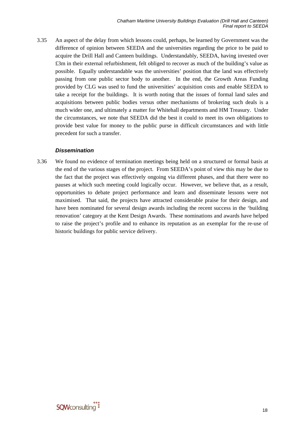3.35 An aspect of the delay from which lessons could, perhaps, be learned by Government was the difference of opinion between SEEDA and the universities regarding the price to be paid to acquire the Drill Hall and Canteen buildings. Understandably, SEEDA, having invested over £3m in their external refurbishment, felt obliged to recover as much of the building's value as possible. Equally understandable was the universities' position that the land was effectively passing from one public sector body to another. In the end, the Growth Areas Funding provided by CLG was used to fund the universities' acquisition costs and enable SEEDA to take a receipt for the buildings. It is worth noting that the issues of formal land sales and acquisitions between public bodies versus other mechanisms of brokering such deals is a much wider one, and ultimately a matter for Whitehall departments and HM Treasury. Under the circumstances, we note that SEEDA did the best it could to meet its own obligations to provide best value for money to the public purse in difficult circumstances and with little precedent for such a transfer.

#### *Dissemination*

3.36 We found no evidence of termination meetings being held on a structured or formal basis at the end of the various stages of the project. From SEEDA's point of view this may be due to the fact that the project was effectively ongoing via different phases, and that there were no pauses at which such meeting could logically occur. However, we believe that, as a result, opportunities to debate project performance and learn and disseminate lessons were not maximised. That said, the projects have attracted considerable praise for their design, and have been nominated for several design awards including the recent success in the 'building renovation' category at the Kent Design Awards. These nominations and awards have helped to raise the project's profile and to enhance its reputation as an exemplar for the re-use of historic buildings for public service delivery.

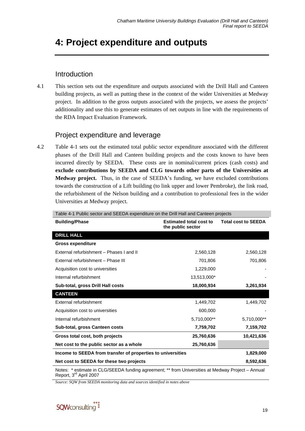## <span id="page-26-0"></span>**4: Project expenditure and outputs**

### Introduction

4.1 This section sets out the expenditure and outputs associated with the Drill Hall and Canteen building projects, as well as putting these in the context of the wider Universities at Medway project. In addition to the gross outputs associated with the projects, we assess the projects' additionality and use this to generate estimates of net outputs in line with the requirements of the RDA Impact Evaluation Framework.

### Project expenditure and leverage

4.2 [Table 4-1](#page-26-1) sets out the estimated total public sector expenditure associated with the different phases of the Drill Hall and Canteen building projects and the costs known to have been incurred directly by SEEDA. These costs are in nominal/current prices (cash costs) and **exclude contributions by SEEDA and CLG towards other parts of the Universities at Medway project.** Thus, in the case of SEEDA's funding, we have excluded contributions towards the construction of a Lift building (to link upper and lower Pembroke), the link road, the refurbishment of the Nelson building and a contribution to professional fees in the wider Universities at Medway project.

<span id="page-26-1"></span>

| Table 4-1 Public sector and SEEDA expenditure on the Drill Hall and Canteen projects                                                    |                                                     |                            |  |  |
|-----------------------------------------------------------------------------------------------------------------------------------------|-----------------------------------------------------|----------------------------|--|--|
| <b>Building/Phase</b>                                                                                                                   | <b>Estimated total cost to</b><br>the public sector | <b>Total cost to SEEDA</b> |  |  |
| <b>DRILL HALL</b>                                                                                                                       |                                                     |                            |  |  |
| <b>Gross expenditure</b>                                                                                                                |                                                     |                            |  |  |
| External refurbishment - Phases I and II                                                                                                | 2,560,128                                           | 2,560,128                  |  |  |
| External refurbishment - Phase III                                                                                                      | 701,806                                             | 701,806                    |  |  |
| Acquisition cost to universities                                                                                                        | 1,229,000                                           |                            |  |  |
| Internal refurbishment                                                                                                                  | 13,513,000*                                         |                            |  |  |
| Sub-total, gross Drill Hall costs                                                                                                       | 18,000,934                                          | 3,261,934                  |  |  |
| <b>CANTEEN</b>                                                                                                                          |                                                     |                            |  |  |
| External refurbishment                                                                                                                  | 1,449,702                                           | 1,449,702                  |  |  |
| Acquisition cost to universities                                                                                                        | 600,000                                             |                            |  |  |
| Internal refurbishment                                                                                                                  | 5,710,000**                                         | 5,710,000**                |  |  |
| Sub-total, gross Canteen costs                                                                                                          | 7,759,702                                           | 7,159,702                  |  |  |
| Gross total cost, both projects                                                                                                         | 25,760,636                                          | 10,421,636                 |  |  |
| Net cost to the public sector as a whole                                                                                                | 25,760,636                                          |                            |  |  |
| Income to SEEDA from transfer of properties to universities                                                                             |                                                     | 1,829,000                  |  |  |
| Net cost to SEEDA for these two projects                                                                                                |                                                     | 8,592,636                  |  |  |
| Notes: * estimate in CLG/SEEDA funding agreement; ** from Universities at Medway Project - Annual<br>Report, 3 <sup>rd</sup> April 2007 |                                                     |                            |  |  |

*Source: SQW from SEEDA monitoring data and sources identified in notes above* 

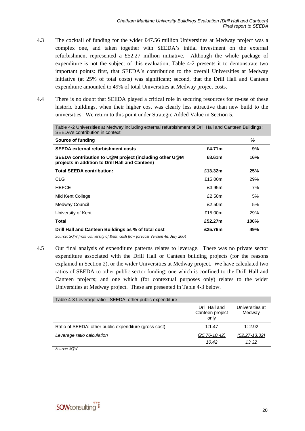- 4.3 The cocktail of funding for the wider £47.56 million Universities at Medway project was a complex one, and taken together with SEEDA's initial investment on the external refurbishment represented a £52.27 million initiative. Although the whole package of expenditure is not the subject of this evaluation, [Table 4-2](#page-27-0) presents it to demonstrate two important points: first, that SEEDA's contribution to the overall Universities at Medway initiative (at 25% of total costs) was significant; second, that the Drill Hall and Canteen expenditure amounted to 49% of total Universities at Medway project costs.
- <span id="page-27-0"></span>4.4 There is no doubt that SEEDA played a critical role in securing resources for re-use of these historic buildings, when their higher cost was clearly less attractive than new build to the universities. We return to this point under Strategic Added Value in Section 5.

| SEEDA's contribution in context                                                                           |         |      |
|-----------------------------------------------------------------------------------------------------------|---------|------|
| Source of funding                                                                                         |         | %    |
| <b>SEEDA external refurbishment costs</b>                                                                 | £4.71m  | 9%   |
| SEEDA contribution to U@M project (including other U@M<br>projects in addition to Drill Hall and Canteen) | £8.61m  | 16%  |
| <b>Total SEEDA contribution:</b>                                                                          | £13.32m | 25%  |
| CLG                                                                                                       | £15.00m | 29%  |
| <b>HEFCE</b>                                                                                              | £3.95m  | 7%   |
| Mid Kent College                                                                                          | £2.50m  | 5%   |
| Medway Council                                                                                            | £2.50m  | 5%   |
| University of Kent                                                                                        | £15.00m | 29%  |
| Total                                                                                                     | £52.27m | 100% |
| Drill Hall and Canteen Buildings as % of total cost                                                       | £25.76m | 49%  |

Table 4-2 Universities at Medway including external refurbishment of Drill Hall and Canteen Buildings: SEEDA's contribution in context

*Source: SQW from University of Kent, cash flow forecast Version 4a, July 2004* 

4.5 Our final analysis of expenditure patterns relates to leverage. There was no private sector expenditure associated with the Drill Hall or Canteen building projects (for the reasons explained in Section 2), or the wider Universities at Medway project. We have calculated two ratios of SEEDA to other public sector funding: one which is confined to the Drill Hall and Canteen projects; and one which (for contextual purposes only) relates to the wider Universities at Medway project. These are presented in [Table 4-3](#page-27-1) below.

<span id="page-27-1"></span>

| Table 4-3 Leverage ratio - SEEDA: other public expenditure |                                           |                           |  |  |
|------------------------------------------------------------|-------------------------------------------|---------------------------|--|--|
|                                                            | Drill Hall and<br>Canteen project<br>only | Universities at<br>Medway |  |  |
| Ratio of SEEDA: other public expenditure (gross cost)      | 1:1.47                                    | 1:2.92                    |  |  |
| Leverage ratio calculation                                 | $(25.76 - 10.42)$                         | $(52.27 - 13.32)$         |  |  |
|                                                            | 10.42                                     | 13.32                     |  |  |

*Source: SQW* 

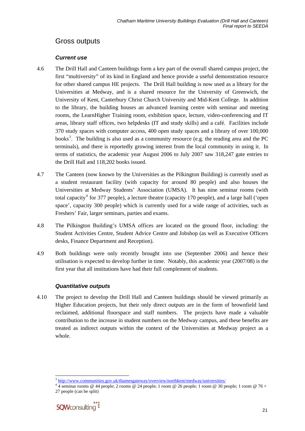### <span id="page-28-0"></span>Gross outputs

#### *Current use*

- 4.6 The Drill Hall and Canteen buildings form a key part of the overall shared campus project, the first "multiversity" of its kind in England and hence provide a useful demonstration resource for other shared campus HE projects. The Drill Hall building is now used as a library for the Universities at Medway, and is a shared resource for the University of Greenwich, the University of Kent, Canterbury Christ Church University and Mid-Kent College. In addition to the library, the building houses an advanced learning centre with seminar and meeting rooms, the LearnHigher Training room, exhibition space, lecture, video-conferencing and IT areas, library staff offices, two helpdesks (IT and study skills) and a café. Facilities include 370 study spaces with computer access, 400 open study spaces and a library of over 100,000 books<sup>[3](#page-28-0)</sup>. The building is also used as a community resource (e.g. the reading area and the PC terminals), and there is reportedly growing interest from the local community in using it. In terms of statistics, the academic year August 2006 to July 2007 saw 318,247 gate entries to the Drill Hall and 118,202 books issued.
- 4.7 The Canteen (now known by the Universities as the Pilkington Building) is currently used as a student restaurant facility (with capacity for around 80 people) and also houses the Universities at Medway Students' Association (UMSA). It has nine seminar rooms (with total capacity<sup>[4](#page-28-0)</sup> for 377 people), a lecture theatre (capacity 170 people), and a large hall ('open space', capacity 300 people) which is currently used for a wide range of activities, such as Freshers' Fair, larger seminars, parties and exams.
- 4.8 The Pilkington Building's UMSA offices are located on the ground floor, including: the Student Activities Centre, Student Advice Centre and Jobshop (as well as Executive Officers desks, Finance Department and Reception).
- 4.9 Both buildings were only recently brought into use (September 2006) and hence their utilisation is expected to develop further in time. Notably, this academic year (2007/08) is the first year that all institutions have had their full complement of students.

#### *Quantitative outputs*

4.10 The project to develop the Drill Hall and Canteen buildings should be viewed primarily as Higher Education projects, but their only direct outputs are in the form of brownfield land reclaimed, additional floorspace and staff numbers. The projects have made a valuable contribution to the increase in student numbers on the Medway campus, and these benefits are treated as indirect outputs within the context of the Universities at Medway project as a whole.

 <sup>4</sup> seminar rooms @ 44 people; 2 rooms @ 24 people; 1 room @ 26 people; 1 room @ 30 people; 1 room @ 76 + 27 people (can be split)



l <sup>3</sup> <http://www.communities.gov.uk/thamesgateway/overview/northkent/medway/universities/> <sup>4</sup>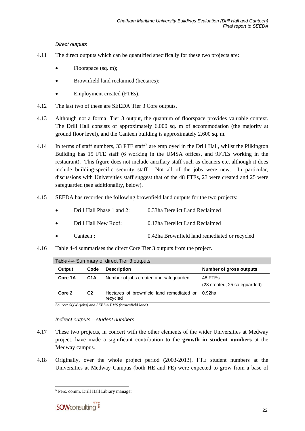#### *Direct outputs*

- <span id="page-29-0"></span>4.11 The direct outputs which can be quantified specifically for these two projects are:
	- Floorspace (sq. m);
	- Brownfield land reclaimed (hectares);
	- Employment created (FTEs).
- 4.12 The last two of these are SEEDA Tier 3 Core outputs.
- 4.13 Although not a formal Tier 3 output, the quantum of floorspace provides valuable context. The Drill Hall consists of approximately 6,000 sq. m of accommodation (the majority at ground floor level), and the Canteen building is approximately 2,600 sq. m.
- 4.14 In terms of staff numbers, 33 FTE staff<sup>[5](#page-29-0)</sup> are employed in the Drill Hall, whilst the Pilkington Building has 15 FTE staff (6 working in the UMSA offices, and 9FTEs working in the restaurant). This figure does not include ancillary staff such as cleaners etc, although it does include building-specific security staff. Not all of the jobs were new. In particular, discussions with Universities staff suggest that of the 48 FTEs, 23 were created and 25 were safeguarded (see additionality, below).
- 4.15 SEEDA has recorded the following brownfield land outputs for the two projects:

| $\bullet$ | Drill Hall Phase 1 and $2:$ | 0.33ha Derelict Land Reclaimed |
|-----------|-----------------------------|--------------------------------|
| $\bullet$ | Drill Hall New Roof:        | 0.17ha Derelict Land Reclaimed |

- Canteen : 0.42ha Brownfield land remediated or recycled
- <span id="page-29-1"></span>4.16 [Table 4-4](#page-29-1) summarises the direct Core Tier 3 outputs from the project.

| Table 4-4 Summary of direct Tier 3 outputs |                  |                                                       |                                         |  |
|--------------------------------------------|------------------|-------------------------------------------------------|-----------------------------------------|--|
| Output                                     | Code             | <b>Description</b>                                    | Number of gross outputs                 |  |
| Core 1A                                    | C <sub>1</sub> A | Number of jobs created and safeguarded                | 48 FTEs<br>(23 created; 25 safeguarded) |  |
| Core 2                                     | C2               | Hectares of brownfield land remediated or<br>recycled | 0.92ha                                  |  |

*Source: SQW (jobs) and SEEDA PMS (brownfield land)* 

#### *Indirect outputs – student numbers*

- 4.17 These two projects, in concert with the other elements of the wider Universities at Medway project, have made a significant contribution to the **growth in student numbers** at the Medway campus.
- 4.18 Originally, over the whole project period (2003-2013), FTE student numbers at the Universities at Medway Campus (both HE and FE) were expected to grow from a base of

 $\overline{\phantom{a}}$ 

<sup>&</sup>lt;sup>5</sup> Pers. comm. Drill Hall Library manager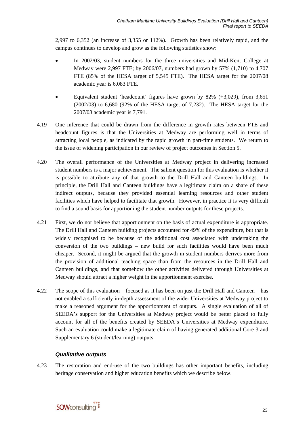2,997 to 6,352 (an increase of 3,355 or 112%). Growth has been relatively rapid, and the campus continues to develop and grow as the following statistics show:

- In 2002/03, student numbers for the three universities and Mid-Kent College at Medway were 2,997 FTE; by 2006/07, numbers had grown by 57% (1,710) to 4,707 FTE (85% of the HESA target of 5,545 FTE). The HESA target for the 2007/08 academic year is 6,083 FTE.
- Equivalent student 'headcount' figures have grown by  $82\%$  (+3,029), from 3,651 (2002/03) to 6,680 (92% of the HESA target of 7,232). The HESA target for the 2007/08 academic year is 7,791.
- 4.19 One inference that could be drawn from the difference in growth rates between FTE and headcount figures is that the Universities at Medway are performing well in terms of attracting local people, as indicated by the rapid growth in part-time students. We return to the issue of widening participation in our review of project outcomes in Section 5.
- 4.20 The overall performance of the Universities at Medway project in delivering increased student numbers is a major achievement. The salient question for this evaluation is whether it is possible to attribute any of that growth to the Drill Hall and Canteen buildings. In principle, the Drill Hall and Canteen buildings have a legitimate claim on a share of these indirect outputs, because they provided essential learning resources and other student facilities which have helped to facilitate that growth. However, in practice it is very difficult to find a sound basis for apportioning the student number outputs for these projects.
- 4.21 First, we do not believe that apportionment on the basis of actual expenditure is appropriate. The Drill Hall and Canteen building projects accounted for 49% of the expenditure, but that is widely recognised to be because of the additional cost associated with undertaking the conversion of the two buildings – new build for such facilities would have been much cheaper. Second, it might be argued that the growth in student numbers derives more from the provision of additional teaching space than from the resources in the Drill Hall and Canteen buildings, and that somehow the other activities delivered through Universities at Medway should attract a higher weight in the apportionment exercise.
- 4.22 The scope of this evaluation focused as it has been on just the Drill Hall and Canteen has not enabled a sufficiently in-depth assessment of the wider Universities at Medway project to make a reasoned argument for the apportionment of outputs. A single evaluation of all of SEEDA's support for the Universities at Medway project would be better placed to fully account for all of the benefits created by SEEDA's Universities at Medway expenditure. Such an evaluation could make a legitimate claim of having generated additional Core 3 and Supplementary 6 (student/learning) outputs.

#### *Qualitative outputs*

4.23 The restoration and end-use of the two buildings has other important benefits, including heritage conservation and higher education benefits which we describe below.

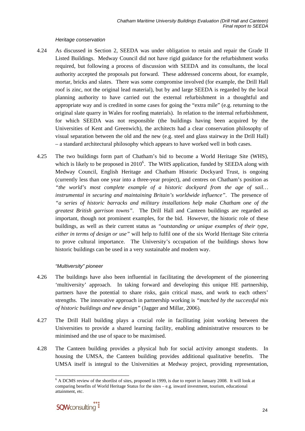#### *Heritage conservation*

- <span id="page-31-0"></span>4.24 As discussed in Section 2, SEEDA was under obligation to retain and repair the Grade II Listed Buildings. Medway Council did not have rigid guidance for the refurbishment works required, but following a process of discussion with SEEDA and its consultants, the local authority accepted the proposals put forward. These addressed concerns about, for example, mortar, bricks and slates. There was some compromise involved (for example, the Drill Hall roof is zinc, not the original lead material), but by and large SEEDA is regarded by the local planning authority to have carried out the external refurbishment in a thoughtful and appropriate way and is credited in some cases for going the "extra mile" (e.g. returning to the original slate quarry in Wales for roofing materials). In relation to the internal refurbishment, for which SEEDA was not responsible (the buildings having been acquired by the Universities of Kent and Greenwich), the architects had a clear conservation philosophy of visual separation between the old and the new (e.g. steel and glass stairway in the Drill Hall) – a standard architectural philosophy which appears to have worked well in both cases.
- 4.25 The two buildings form part of Chatham's bid to become a World Heritage Site (WHS), which is likely to be proposed in  $2010<sup>6</sup>$  $2010<sup>6</sup>$  $2010<sup>6</sup>$ . The WHS application, funded by SEEDA along with Medway Council, English Heritage and Chatham Historic Dockyard Trust, is ongoing (currently less than one year into a three-year project), and centres on Chatham's position as *"the world's most complete example of a historic dockyard from the age of sail… instrumental in securing and maintaining Britain's worldwide influence"*. The presence of *"a series of historic barracks and military installations help make Chatham one of the greatest British garrison towns"*. The Drill Hall and Canteen buildings are regarded as important, though not prominent examples, for the bid. However, the historic role of these buildings, as well as their current status as *"outstanding or unique examples of their type, either in terms of design or use"* will help to fulfil one of the six World Heritage Site criteria to prove cultural importance. The University's occupation of the buildings shows how historic buildings can be used in a very sustainable and modern way.

#### *"Multiversity" pioneer*

- 4.26 The buildings have also been influential in facilitating the development of the pioneering 'multiversity' approach. In taking forward and developing this unique HE partnership, partners have the potential to share risks, gain critical mass, and work to each others' strengths. The innovative approach in partnership working is *"matched by the successful mix of historic buildings and new design"* (Jagger and Millar, 2006).
- 4.27 The Drill Hall building plays a crucial role in facilitating joint working between the Universities to provide a shared learning facility, enabling administrative resources to be minimised and the use of space to be maximised.
- 4.28 The Canteen building provides a physical hub for social activity amongst students. In housing the UMSA, the Canteen building provides additional qualitative benefits. The UMSA itself is integral to the Universities at Medway project, providing representation,

l <sup>6</sup> A DCMS review of the shortlist of sites, proposed in 1999, is due to report in January 2008. It will look at comparing benefits of World Heritage Status for the sites – e.g. inward investment, tourism, educational attainment, etc.

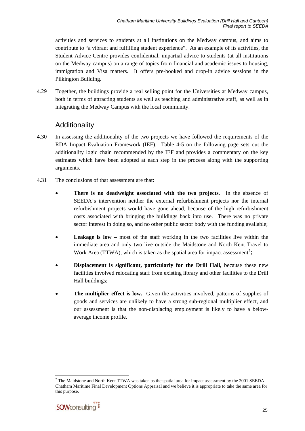<span id="page-32-0"></span>activities and services to students at all institutions on the Medway campus, and aims to contribute to "a vibrant and fulfilling student experience". As an example of its activities, the Student Advice Centre provides confidential, impartial advice to students (at all institutions on the Medway campus) on a range of topics from financial and academic issues to housing, immigration and Visa matters. It offers pre-booked and drop-in advice sessions in the Pilkington Building.

4.29 Together, the buildings provide a real selling point for the Universities at Medway campus, both in terms of attracting students as well as teaching and administrative staff, as well as in integrating the Medway Campus with the local community.

### Additionality

- 4.30 In assessing the additionality of the two projects we have followed the requirements of the RDA Impact Evaluation Framework (IEF). [Table 4-5](#page-33-0) on the following page sets out the additionality logic chain recommended by the IEF and provides a commentary on the key estimates which have been adopted at each step in the process along with the supporting arguments.
- 4.31 The conclusions of that assessment are that:
	- **There is no deadweight associated with the two projects**. In the absence of SEEDA's intervention neither the external refurbishment projects nor the internal refurbishment projects would have gone ahead, because of the high refurbishment costs associated with bringing the buildings back into use. There was no private sector interest in doing so, and no other public sector body with the funding available;
	- **Leakage is low** most of the staff working in the two facilities live within the immediate area and only two live outside the Maidstone and North Kent Travel to Work Area (TTWA), which is taken as the spatial area for impact assessment<sup>[7](#page-32-0)</sup>;
	- **Displacement is significant, particularly for the Drill Hall, because these new** facilities involved relocating staff from existing library and other facilities to the Drill Hall buildings;
	- The multiplier effect is low. Given the activities involved, patterns of supplies of goods and services are unlikely to have a strong sub-regional multiplier effect, and our assessment is that the non-displacing employment is likely to have a belowaverage income profile.

l  $7$  The Maidstone and North Kent TTWA was taken as the spatial area for impact assessment by the 2001 SEEDA Chatham Maritime Final Development Options Appraisal and we believe it is appropriate to take the same area for this purpose.

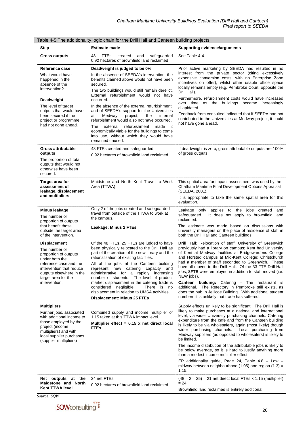| Step                                                                                                                                                                                                                                                                                                                                          | i able 4-5 The additionality logic chain for the Drill Hall and Canteen building projects<br><b>Estimate made</b>                                                                                                                                                                                                                                                                                                                                                                                                                                                                                                                                                                         | Supporting evidence/arguments                                                                                                                                                                                                                                                                                                                                                                                                                                                                                                                                                                                                                                                                                                                                                                                                                                                                                                                                            |
|-----------------------------------------------------------------------------------------------------------------------------------------------------------------------------------------------------------------------------------------------------------------------------------------------------------------------------------------------|-------------------------------------------------------------------------------------------------------------------------------------------------------------------------------------------------------------------------------------------------------------------------------------------------------------------------------------------------------------------------------------------------------------------------------------------------------------------------------------------------------------------------------------------------------------------------------------------------------------------------------------------------------------------------------------------|--------------------------------------------------------------------------------------------------------------------------------------------------------------------------------------------------------------------------------------------------------------------------------------------------------------------------------------------------------------------------------------------------------------------------------------------------------------------------------------------------------------------------------------------------------------------------------------------------------------------------------------------------------------------------------------------------------------------------------------------------------------------------------------------------------------------------------------------------------------------------------------------------------------------------------------------------------------------------|
| <b>Gross outputs</b>                                                                                                                                                                                                                                                                                                                          | <b>FTEs</b><br>created<br>48<br>and<br>safeguarded<br>0.92 hectares of brownfield land reclaimed                                                                                                                                                                                                                                                                                                                                                                                                                                                                                                                                                                                          | See Table 4-4.                                                                                                                                                                                                                                                                                                                                                                                                                                                                                                                                                                                                                                                                                                                                                                                                                                                                                                                                                           |
| Reference case<br>What would have<br>happened in the<br>absence of the<br>intervention?<br>Deadweight<br>The level of target<br>outputs that would have<br>been secured if the<br>project or programme<br>had not gone ahead.                                                                                                                 | Deadweight is judged to be 0%<br>In the absence of SEEDA's intervention, the<br>benefits claimed above would not have been<br>secured.<br>The two buildings would still remain derelict.<br>External refurbishment would not have<br>occurred.<br>In the absence of the external refurbishment,<br>and of SEEDA's support for the Universities<br>project,<br>internal<br>at<br>Medway<br>the<br>refurbishment would also not have occurred.<br>refurbishment<br>The<br>external<br>made<br>it it<br>economically viable for the buildings to come<br>into use, without which they would have<br>remained unused.                                                                         | Prior active marketing by SEEDA had resulted in no<br>interest from the private sector (citing excessively<br>expensive conversion costs, with no Enterprise Zone<br>incentives on offer), whilst other usable office space<br>locally remains empty (e.g. Pembroke Court, opposite the<br>Drill Hall).<br>Furthermore, refurbishment costs would have increased<br>over time as the buildings became increasingly<br>dilapidated.<br>Feedback from consulted indicated that if SEEDA had not<br>contributed to the Universities at Medway project, it could<br>not have gone ahead.                                                                                                                                                                                                                                                                                                                                                                                     |
| <b>Gross attributable</b><br>outputs<br>The proportion of total<br>outputs that would not<br>otherwise have been<br>secured.                                                                                                                                                                                                                  | 48 FTEs created and safeguarded<br>0.92 hectares of brownfield land reclaimed                                                                                                                                                                                                                                                                                                                                                                                                                                                                                                                                                                                                             | If deadweight is zero, gross attributable outputs are 100%<br>of gross outputs                                                                                                                                                                                                                                                                                                                                                                                                                                                                                                                                                                                                                                                                                                                                                                                                                                                                                           |
| Target area for<br>assessment of<br>leakage, displacement<br>and multipliers                                                                                                                                                                                                                                                                  | Maidstone and North Kent Travel to Work<br>Area (TTWA)                                                                                                                                                                                                                                                                                                                                                                                                                                                                                                                                                                                                                                    | This spatial area for impact assessment was used by the<br>Chatham Maritime Final Development Options Appraisal<br>(SEEDA, 2001).<br>It is appropriate to take the same spatial area for this<br>evaluation.                                                                                                                                                                                                                                                                                                                                                                                                                                                                                                                                                                                                                                                                                                                                                             |
| <b>Minus leakage</b><br>The number or<br>proportion of outputs<br>that benefit those<br>outside the target area<br>of the intervention.<br>Displacement<br>The number or<br>proportion of outputs<br>under both the<br>reference case and the<br>intervention that reduce<br>outputs elsewhere in the<br>target area for the<br>intervention. | Only 2 of the jobs created and safeguarded<br>travel from outside of the TTWA to work at<br>the campus.<br>Leakage: Minus 2 FTEs<br>Of the 48 FTEs, 25 FTEs are judged to have<br>been physically relocated to the Drill Hall as<br>part of the creation of the new library and the<br>rationalisation of existing facilities.<br>All of the jobs at the Canteen building<br>represent new catering capacity<br>and<br>administrative for a rapidly increasing<br>number of students. The level of product<br>market displacement in the catering trade is<br>considered negligible.<br>There is no<br>displacement in relation to UMSA activities.<br><b>Displacement: Minus 25 FTEs</b> | Leakage only<br>applies to the jobs created<br>and<br>It does not apply to brownfield land<br>safeguarded.<br>reclaimed.<br>The estimate was made based on discussions with<br>university managers on the place of residence of staff in<br>both the Drill Hall and Canteen buildings.<br><b>Drill Hall:</b> Relocation of staff: University of Greenwich<br>previously had a library on campus; Kent had University<br>of Kent at Medway facilities at Bridgewardens College<br>and Horsted campus at Mid-Kent College; Christchurch<br>had a member of staff seconded to Greenwich. These<br>have all moved to the Drill Hall. Of the 33 FTE Drill Hall<br>jobs, 8FTE were employed in addition to staff moved (i.e.<br>NEW jobs).<br><b>Canteen building:</b> Catering - The restaurant is<br>additional. The Refectory in Pembroke still exists, as<br>does the pub in Jellicoe Building. With additional student<br>numbers it is unlikely that trade has suffered. |
| <b>Multipliers</b><br>Further jobs, associated<br>with additional income to<br>those employed by the<br>project (income<br>multipliers) and with<br>local supplier purchases<br>(supplier multipliers)                                                                                                                                        | Combined supply and income multiplier of<br>1.15 taken at this TTWA impact level.<br>Multiplier effect = $0.15$ x net direct local<br>FTEs                                                                                                                                                                                                                                                                                                                                                                                                                                                                                                                                                | Supply effects unlikely to be significant. The Drill Hall is<br>likely to make purchases at a national and international<br>level, via wider University purchasing channels. Catering<br>expenditure from the café and from the Canteen building<br>is likely to be via wholesalers, again (most likely) though<br>wider purchasing channels.<br>Local purchasing from<br>Medway suppliers (as opposed to wholesalers) is likely to<br>be limited.<br>The income distribution of the attributable jobs is likely to<br>be below average, so it is hard to justify anything more<br>than a modest income multiplier effect.<br>EP additionality guide, Page 24, Table $4.8 - Low -$<br>midway between neighbourhood $(1.05)$ and region $(1.3)$ =<br>1.15.                                                                                                                                                                                                                |
| Net outputs at the<br>Maidstone and North<br><b>Kent TTWA level</b>                                                                                                                                                                                                                                                                           | 24 net FTEs<br>0.92 hectares of brownfield land reclaimed                                                                                                                                                                                                                                                                                                                                                                                                                                                                                                                                                                                                                                 | $(48 - 2 - 25) = 21$ net direct local FTEs x 1.15 (multiplier)<br>$= 24$<br>Brownfield land reclaimed is entirely additional.                                                                                                                                                                                                                                                                                                                                                                                                                                                                                                                                                                                                                                                                                                                                                                                                                                            |

#### <span id="page-33-0"></span>Table 4-5 The additionality logic chain for the Drill Hall and Canteen building projects

*Source: SQW*

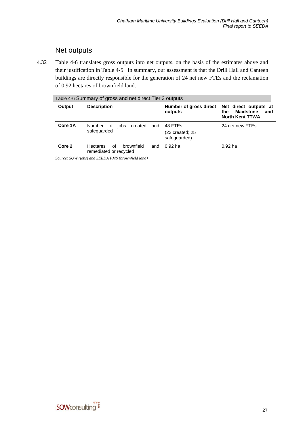### Net outputs

<span id="page-34-0"></span>4.32 [Table 4-6](#page-34-0) translates gross outputs into net outputs, on the basis of the estimates above and their justification in [Table 4-5.](#page-33-0) In summary, our assessment is that the Drill Hall and Canteen buildings are directly responsible for the generation of 24 net new FTEs and the reclamation of 0.92 hectares of brownfield land.

| Table 4-6 Summary of gross and net direct Tier 3 outputs |                                                               |      |                                            |                                                                                   |
|----------------------------------------------------------|---------------------------------------------------------------|------|--------------------------------------------|-----------------------------------------------------------------------------------|
| Output                                                   | <b>Description</b>                                            |      | Number of gross direct<br>outputs          | Net direct outputs at<br><b>Maidstone</b><br>the<br>and<br><b>North Kent TTWA</b> |
| Core 1A                                                  | Number<br>created<br>οf<br>jobs<br>safequarded                | and  | 48 FTEs<br>(23 created; 25<br>safequarded) | 24 net new FTEs                                                                   |
| Core 2                                                   | brownfield<br>0f<br><b>Hectares</b><br>remediated or recycled | land | $0.92$ ha                                  | $0.92$ ha                                                                         |

*Source: SQW (jobs) and SEEDA PMS (brownfield land)* 

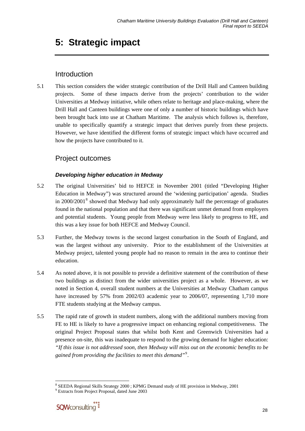## <span id="page-35-0"></span>**5: Strategic impact**

### Introduction

5.1 This section considers the wider strategic contribution of the Drill Hall and Canteen building projects. Some of these impacts derive from the projects' contribution to the wider Universities at Medway initiative, while others relate to heritage and place-making, where the Drill Hall and Canteen buildings were one of only a number of historic buildings which have been brought back into use at Chatham Maritime. The analysis which follows is, therefore, unable to specifically quantify a strategic impact that derives purely from these projects. However, we have identified the different forms of strategic impact which have occurred and how the projects have contributed to it.

### Project outcomes

#### *Developing higher education in Medway*

- 5.2 The original Universities' bid to HEFCE in November 2001 (titled "Developing Higher Education in Medway") was structured around the 'widening participation' agenda. Studies in  $2000/2001<sup>8</sup>$  $2000/2001<sup>8</sup>$  $2000/2001<sup>8</sup>$  showed that Medway had only approximately half the percentage of graduates found in the national population and that there was significant unmet demand from employers and potential students. Young people from Medway were less likely to progress to HE, and this was a key issue for both HEFCE and Medway Council.
- 5.3 Further, the Medway towns is the second largest conurbation in the South of England, and was the largest without any university. Prior to the establishment of the Universities at Medway project, talented young people had no reason to remain in the area to continue their education.
- 5.4 As noted above, it is not possible to provide a definitive statement of the contribution of these two buildings as distinct from the wider universities project as a whole. However, as we noted in Section 4, overall student numbers at the Universities at Medway Chatham campus have increased by 57% from 2002/03 academic year to 2006/07, representing 1,710 more FTE students studying at the Medway campus.
- 5.5 The rapid rate of growth in student numbers, along with the additional numbers moving from FE to HE is likely to have a progressive impact on enhancing regional competitiveness. The original Project Proposal states that whilst both Kent and Greenwich Universities had a presence on-site, this was inadequate to respond to the growing demand for higher education: *"If this issue is not addressed soon, then Medway will miss out on the economic benefits to be gained from providing the facilities to meet this demand"*[9](#page-35-0) .

<sup>9</sup> Extracts from Project Proposal, dated June 2003



l <sup>8</sup> SEEDA Regional Skills Strategy 2000; KPMG Demand study of HE provision in Medway, 2001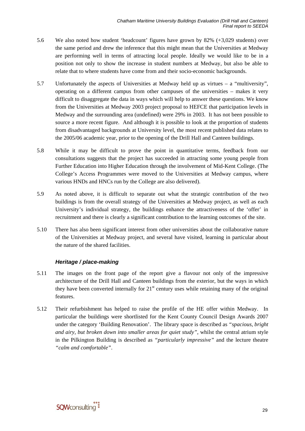- 5.6 We also noted how student 'headcount' figures have grown by 82% (+3,029 students) over the same period and drew the inference that this might mean that the Universities at Medway are performing well in terms of attracting local people. Ideally we would like to be in a position not only to show the increase in student numbers at Medway, but also be able to relate that to where students have come from and their socio-economic backgrounds.
- 5.7 Unfortunately the aspects of Universities at Medway held up as virtues a "multiversity", operating on a different campus from other campuses of the universities – makes it very difficult to disaggregate the data in ways which will help to answer these questions. We know from the Universities at Medway 2003 project proposal to HEFCE that participation levels in Medway and the surrounding area (undefined) were 29% in 2003. It has not been possible to source a more recent figure. And although it is possible to look at the proportion of students from disadvantaged backgrounds at University level, the most recent published data relates to the 2005/06 academic year, prior to the opening of the Drill Hall and Canteen buildings.
- 5.8 While it may be difficult to prove the point in quantitative terms, feedback from our consultations suggests that the project has succeeded in attracting some young people from Further Education into Higher Education through the involvement of Mid-Kent College. (The College's Access Programmes were moved to the Universities at Medway campus, where various HNDs and HNCs run by the College are also delivered).
- 5.9 As noted above, it is difficult to separate out what the strategic contribution of the two buildings is from the overall strategy of the Universities at Medway project, as well as each University's individual strategy, the buildings enhance the attractiveness of the 'offer' in recruitment and there is clearly a significant contribution to the learning outcomes of the site.
- 5.10 There has also been significant interest from other universities about the collaborative nature of the Universities at Medway project, and several have visited, learning in particular about the nature of the shared facilities.

#### *Heritage / place-making*

- 5.11 The images on the front page of the report give a flavour not only of the impressive architecture of the Drill Hall and Canteen buildings from the exterior, but the ways in which they have been converted internally for  $21<sup>st</sup>$  century uses while retaining many of the original features.
- 5.12 Their refurbishment has helped to raise the profile of the HE offer within Medway. In particular the buildings were shortlisted for the Kent County Council Design Awards 2007 under the category 'Building Renovation'. The library space is described as *"spacious, bright and airy, but broken down into smaller areas for quiet study"*, whilst the central atrium style in the Pilkington Building is described as *"particularly impressive"* and the lecture theatre *"calm and comfortable"*.

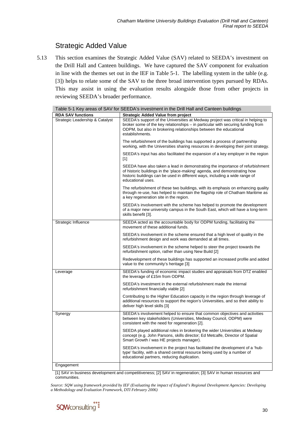### Strategic Added Value

5.13 This section examines the Strategic Added Value (SAV) related to SEEDA's investment on the Drill Hall and Canteen buildings. We have captured the SAV component for evaluation in line with the themes set out in the IEF in [Table 5-1.](#page-37-0) The labelling system in the table (e.g. [3]) helps to relate some of the SAV to the three broad intervention types pursued by RDAs. This may assist in using the evaluation results alongside those from other projects in reviewing SEEDA's broader performance.

<span id="page-37-0"></span>

|                                 | Table 5-1 Key areas of SAV for SEEDA's investment in the Drill Hall and Canteen buildings                                                                                                                                                                      |
|---------------------------------|----------------------------------------------------------------------------------------------------------------------------------------------------------------------------------------------------------------------------------------------------------------|
| <b>RDA SAV functions</b>        | <b>Strategic Added Value from project</b>                                                                                                                                                                                                                      |
| Strategic Leadership & Catalyst | SEEDA's support of the Universities at Medway project was critical in helping to<br>broker some of the key relationships – in particular with securing funding from<br>ODPM, but also in brokering relationships between the educational<br>establishments.    |
|                                 | The refurbishment of the buildings has supported a process of partnership<br>working, with the Universities sharing resources in developing their joint strategy.                                                                                              |
|                                 | SEEDA's input has also facilitated the expansion of a key employer in the region<br>$[1]$                                                                                                                                                                      |
|                                 | SEEDA have also taken a lead in demonstrating the importance of refurbishment<br>of historic buildings in the 'place-making' agenda, and demonstrating how<br>historic buildings can be used in different ways, including a wide range of<br>educational uses. |
|                                 | The refurbishment of these two buildings, with its emphasis on enhancing quality<br>through re-use, has helped to maintain the flagship role of Chatham Maritime as<br>a key regeneration site in the region.                                                  |
|                                 | SEEDA's involvement with the scheme has helped to promote the development<br>of a major new university campus in the South East, which will have a long-term<br>skills benefit [3].                                                                            |
| Strategic Influence             | SEEDA acted as the accountable body for ODPM funding, facilitating the<br>movement of these additional funds.                                                                                                                                                  |
|                                 | SEEDA's involvement in the scheme ensured that a high level of quality in the<br>refurbishment design and work was demanded at all times.                                                                                                                      |
|                                 | SEEDA's involvement in the scheme helped to steer the project towards the<br>refurbishment option, rather than using New Build [2]                                                                                                                             |
|                                 | Redevelopment of these buildings has supported an increased profile and added<br>value to the community's heritage [3]                                                                                                                                         |
| Leverage                        | SEEDA's funding of economic impact studies and appraisals from DTZ enabled<br>the leverage of £15m from ODPM.                                                                                                                                                  |
|                                 | SEEDA's investment in the external refurbishment made the internal<br>refurbishment financially viable [2]                                                                                                                                                     |
|                                 | Contributing to the Higher Education capacity in the region through leverage of<br>additional resources to support the region's Universities, and so their ability to<br>deliver high level skills [3]                                                         |
| Synergy                         | SEEDA's involvement helped to ensure that common objectives and activities<br>between key stakeholders (Universities, Medway Council, ODPM) were<br>consistent with the need for regeneration [2].                                                             |
|                                 | SEEDA played additional roles in brokering the wider Universities at Medway<br>concept (e.g. John Parsons, skills director; Ed Metcalfe, Director of Spatial<br>Smart Growth / was HE projects manager).                                                       |
|                                 | SEEDA's involvement in the project has facilitated the development of a 'hub-<br>type' facility, with a shared central resource being used by a number of<br>educational partners, reducing duplication.                                                       |
| Engagement                      |                                                                                                                                                                                                                                                                |
| $\cdots$                        |                                                                                                                                                                                                                                                                |

[1] SAV in business development and competitiveness; [2] SAV in regeneration; [3] SAV in human resources and communities.

*Source: SQW using framework provided by IEF (Evaluating the impact of England's Regional Development Agencies: Developing a Methodology and Evaluation Framework, DTI February 2006)* 

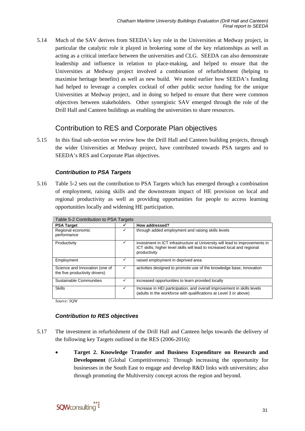5.14 Much of the SAV derives from SEEDA's key role in the Universities at Medway project, in particular the catalytic role it played in brokering some of the key relationships as well as acting as a critical interface between the universities and CLG. SEEDA can also demonstrate leadership and influence in relation to place-making, and helped to ensure that the Universities at Medway project involved a combination of refurbishment (helping to maximise heritage benefits) as well as new build. We noted earlier how SEEDA's funding had helped to leverage a complex cocktail of other public sector funding for the unique Universities at Medway project, and in doing so helped to ensure that there were common objectives between stakeholders. Other synergistic SAV emerged through the role of the Drill Hall and Canteen buildings as enabling the universities to share resources.

### Contribution to RES and Corporate Plan objectives

5.15 In this final sub-section we review how the Drill Hall and Canteen building projects, through the wider Universities at Medway project, have contributed towards PSA targets and to SEEDA's RES and Corporate Plan objectives.

#### *Contribution to PSA Targets*

<span id="page-38-0"></span>5.16 [Table 5-2](#page-38-0) sets out the contribution to PSA Targets which has emerged through a combination of employment, raising skills and the downstream impact of HE provision on local and regional productivity as well as providing opportunities for people to access learning opportunities locally and widening HE participation.

| Table 5-2 Contribution to PSA Targets                            |   |                                                                                                                                                                          |  |
|------------------------------------------------------------------|---|--------------------------------------------------------------------------------------------------------------------------------------------------------------------------|--|
| <b>PSA Target</b>                                                |   | How addressed?                                                                                                                                                           |  |
| Regional economic<br>performance                                 | ✓ | through added employment and raising skills levels                                                                                                                       |  |
| Productivity                                                     | ✓ | investment in ICT infrastructure at University will lead to improvements in<br>ICT skills; higher level skills will lead to increased local and regional<br>productivity |  |
| Employment                                                       |   | raised employment in deprived area                                                                                                                                       |  |
| Science and Innovation (one of<br>the five productivity drivers) | ✓ | activities designed to promote use of the knowledge base, innovation                                                                                                     |  |
| Sustainable Communities                                          | ✓ | increased opportunities to learn provided locally                                                                                                                        |  |
| <b>Skills</b>                                                    | ✓ | Increase in HEI participation, and overall improvement in skills levels<br>(adults in the workforce with qualifications at Level 3 or above)                             |  |

*Source: SQW* 

#### *Contribution to RES objectives*

- 5.17 The investment in refurbishment of the Drill Hall and Canteen helps towards the delivery of the following key Targets outlined in the RES (2006-2016):
	- **Target 2. Knowledge Transfer and Business Expenditure on Research and Development** (Global Competitiveness): Through increasing the opportunity for businesses in the South East to engage and develop R&D links with universities; also through promoting the Multiversity concept across the region and beyond.

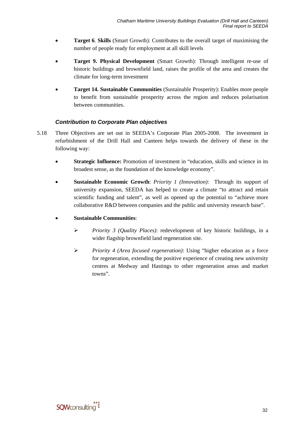- **Target 6**. **Skills** (Smart Growth): Contributes to the overall target of maximising the number of people ready for employment at all skill levels
- **Target 9. Physical Development** (Smart Growth): Through intelligent re-use of historic buildings and brownfield land, raises the profile of the area and creates the climate for long-term investment
- **Target 14. Sustainable Communities** (Sustainable Prosperity): Enables more people to benefit from sustainable prosperity across the region and reduces polarisation between communities.

#### *Contribution to Corporate Plan objectives*

- 5.18 Three Objectives are set out in SEEDA's Corporate Plan 2005-2008. The investment in refurbishment of the Drill Hall and Canteen helps towards the delivery of these in the following way:
	- **Strategic Influence:** Promotion of investment in "education, skills and science in its broadest sense, as the foundation of the knowledge economy".
	- **Sustainable Economic Growth**: *Priority 1 (Innovation)*: Through its support of university expansion, SEEDA has helped to create a climate "to attract and retain scientific funding and talent", as well as opened up the potential to "achieve more collaborative R&D between companies and the public and university research base".
	- **Sustainable Communities**:
		- ¾ *Priority 3 (Quality Places)*: redevelopment of key historic buildings, in a wider flagship brownfield land regeneration site.
		- ¾ *Priority 4 (Area focused regeneration)*: Using "higher education as a force for regeneration, extending the positive experience of creating new university centres at Medway and Hastings to other regeneration areas and market towns".

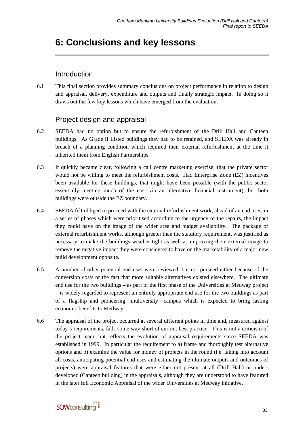## <span id="page-40-0"></span>**6: Conclusions and key lessons**

### Introduction

6.1 This final section provides summary conclusions on project performance in relation to design and appraisal, delivery, expenditure and outputs and finally strategic impact. In doing so it draws out the few key lessons which have emerged from the evaluation.

### Project design and appraisal

- 6.2 SEEDA had no option but to ensure the refurbishment of the Drill Hall and Canteen buildings. As Grade II Listed buildings they had to be retained, and SEEDA was already in breach of a planning condition which required their external refurbishment at the time it inherited them from English Partnerships.
- 6.3 It quickly became clear, following a call centre marketing exercise, that the private sector would not be willing to meet the refurbishment costs. Had Enterprise Zone (EZ) incentives been available for these buildings, that might have been possible (with the public sector essentially meeting much of the cost via an alternative financial instrument), but both buildings were outside the EZ boundary.
- 6.4 SEEDA felt obliged to proceed with the external refurbishment work, ahead of an end user, in a series of phases which were prioritised according to the urgency of the repairs, the impact they could have on the image of the wider area and budget availability. The package of external refurbishment works, although greater than the statutory requirement, was justified as necessary to make the buildings weather-tight as well as improving their external image to remove the negative impact they were considered to have on the marketability of a major new build development opposite.
- 6.5 A number of other potential end uses were reviewed, but not pursued either because of the conversion costs or the fact that more suitable alternatives existed elsewhere. The ultimate end use for the two buildings – as part of the first phase of the Universities at Medway project – is widely regarded to represent an entirely appropriate end use for the two buildings as part of a flagship and pioneering "multiversity" campus which is expected to bring lasting economic benefits to Medway.
- 6.6 The appraisal of the project occurred at several different points in time and, measured against today's requirements, falls some way short of current best practice. This is not a criticism of the project team, but reflects the evolution of appraisal requirements since SEEDA was established in 1999. In particular the requirement to a) frame and thoroughly test alternative options and b) examine the value for money of projects in the round (i.e. taking into account all costs, anticipating potential end uses and estimating the ultimate outputs and outcomes of projects) were appraisal features that were either not present at all (Drill Hall) or underdeveloped (Canteen building) in the appraisals, although they are understood to have featured in the later full Economic Appraisal of the wider Universities at Medway initiative.

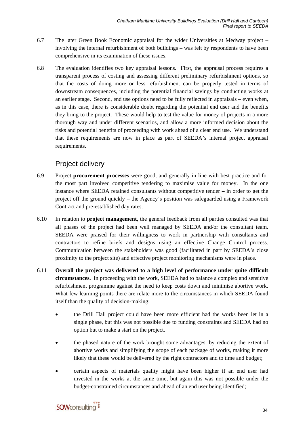- 6.7 The later Green Book Economic appraisal for the wider Universities at Medway project involving the internal refurbishment of both buildings – was felt by respondents to have been comprehensive in its examination of these issues.
- 6.8 The evaluation identifies two key appraisal lessons. First, the appraisal process requires a transparent process of costing and assessing different preliminary refurbishment options, so that the costs of doing more or less refurbishment can be properly tested in terms of downstream consequences, including the potential financial savings by conducting works at an earlier stage. Second, end use options need to be fully reflected in appraisals – even when, as in this case, there is considerable doubt regarding the potential end user and the benefits they bring to the project. These would help to test the value for money of projects in a more thorough way and under different scenarios, and allow a more informed decision about the risks and potential benefits of proceeding with work ahead of a clear end use. We understand that these requirements are now in place as part of SEEDA's internal project appraisal requirements.

### Project delivery

- 6.9 Project **procurement processes** were good, and generally in line with best practice and for the most part involved competitive tendering to maximise value for money. In the one instance where SEEDA retained consultants without competitive tender – in order to get the project off the ground quickly – the Agency's position was safeguarded using a Framework Contract and pre-established day rates.
- 6.10 In relation to **project management**, the general feedback from all parties consulted was that all phases of the project had been well managed by SEEDA and/or the consultant team. SEEDA were praised for their willingness to work in partnership with consultants and contractors to refine briefs and designs using an effective Change Control process. Communication between the stakeholders was good (facilitated in part by SEEDA's close proximity to the project site) and effective project monitoring mechanisms were in place.
- 6.11 **Overall the project was delivered to a high level of performance under quite difficult circumstances.** In proceeding with the work, SEEDA had to balance a complex and sensitive refurbishment programme against the need to keep costs down and minimise abortive work. What few learning points there are relate more to the circumstances in which SEEDA found itself than the quality of decision-making:
	- the Drill Hall project could have been more efficient had the works been let in a single phase, but this was not possible due to funding constraints and SEEDA had no option but to make a start on the project.
	- the phased nature of the work brought some advantages, by reducing the extent of abortive works and simplifying the scope of each package of works, making it more likely that these would be delivered by the right contractors and to time and budget;
	- certain aspects of materials quality might have been higher if an end user had invested in the works at the same time, but again this was not possible under the budget-constrained circumstances and ahead of an end user being identified;

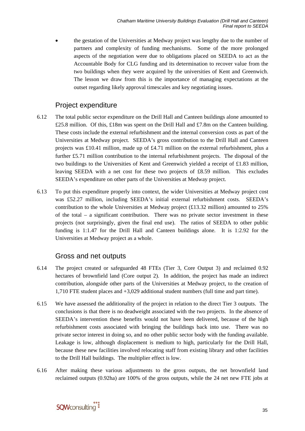• the gestation of the Universities at Medway project was lengthy due to the number of partners and complexity of funding mechanisms. Some of the more prolonged aspects of the negotiation were due to obligations placed on SEEDA to act as the Accountable Body for CLG funding and its determination to recover value from the two buildings when they were acquired by the universities of Kent and Greenwich. The lesson we draw from this is the importance of managing expectations at the outset regarding likely approval timescales and key negotiating issues.

### Project expenditure

- 6.12 The total public sector expenditure on the Drill Hall and Canteen buildings alone amounted to £25.8 million. Of this, £18m was spent on the Drill Hall and £7.8m on the Canteen building. These costs include the external refurbishment and the internal conversion costs as part of the Universities at Medway project. SEEDA's gross contribution to the Drill Hall and Canteen projects was £10.41 million, made up of £4.71 million on the external refurbishment, plus a further £5.71 million contribution to the internal refurbishment projects. The disposal of the two buildings to the Universities of Kent and Greenwich yielded a receipt of £1.83 million, leaving SEEDA with a net cost for these two projects of £8.59 million. This excludes SEEDA's expenditure on other parts of the Universities at Medway project.
- 6.13 To put this expenditure properly into context, the wider Universities at Medway project cost was £52.27 million, including SEEDA's initial external refurbishment costs. SEEDA's contribution to the whole Universities at Medway project  $(£13.32$  million) amounted to 25% of the total – a significant contribution. There was no private sector investment in these projects (not surprisingly, given the final end use). The ratios of SEEDA to other public funding is 1:1.47 for the Drill Hall and Canteen buildings alone. It is 1:2.92 for the Universities at Medway project as a whole.

### Gross and net outputs

- 6.14 The project created or safeguarded 48 FTEs (Tier 3, Core Output 3) and reclaimed 0.92 hectares of brownfield land (Core output 2). In addition, the project has made an indirect contribution, alongside other parts of the Universities at Medway project, to the creation of 1,710 FTE student places and +3,029 additional student numbers (full time and part time).
- 6.15 We have assessed the additionality of the project in relation to the direct Tier 3 outputs. The conclusions is that there is no deadweight associated with the two projects. In the absence of SEEDA's intervention these benefits would not have been delivered, because of the high refurbishment costs associated with bringing the buildings back into use. There was no private sector interest in doing so, and no other public sector body with the funding available. Leakage is low, although displacement is medium to high, particularly for the Drill Hall, because these new facilities involved relocating staff from existing library and other facilities to the Drill Hall buildings. The multiplier effect is low.
- 6.16 After making these various adjustments to the gross outputs, the net brownfield land reclaimed outputs (0.92ha) are 100% of the gross outputs, while the 24 net new FTE jobs at

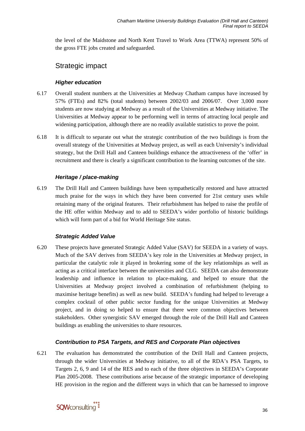the level of the Maidstone and North Kent Travel to Work Area (TTWA) represent 50% of the gross FTE jobs created and safeguarded.

### Strategic impact

#### *Higher education*

- 6.17 Overall student numbers at the Universities at Medway Chatham campus have increased by 57% (FTEs) and 82% (total students) between 2002/03 and 2006/07. Over 3,000 more students are now studying at Medway as a result of the Universities at Medway initiative. The Universities at Medway appear to be performing well in terms of attracting local people and widening participation, although there are no readily available statistics to prove the point.
- 6.18 It is difficult to separate out what the strategic contribution of the two buildings is from the overall strategy of the Universities at Medway project, as well as each University's individual strategy, but the Drill Hall and Canteen buildings enhance the attractiveness of the 'offer' in recruitment and there is clearly a significant contribution to the learning outcomes of the site.

#### *Heritage / place-making*

6.19 The Drill Hall and Canteen buildings have been sympathetically restored and have attracted much praise for the ways in which they have been converted for 21st century uses while retaining many of the original features. Their refurbishment has helped to raise the profile of the HE offer within Medway and to add to SEEDA's wider portfolio of historic buildings which will form part of a bid for World Heritage Site status.

#### *Strategic Added Value*

6.20 These projects have generated Strategic Added Value (SAV) for SEEDA in a variety of ways. Much of the SAV derives from SEEDA's key role in the Universities at Medway project, in particular the catalytic role it played in brokering some of the key relationships as well as acting as a critical interface between the universities and CLG. SEEDA can also demonstrate leadership and influence in relation to place-making, and helped to ensure that the Universities at Medway project involved a combination of refurbishment (helping to maximise heritage benefits) as well as new build. SEEDA's funding had helped to leverage a complex cocktail of other public sector funding for the unique Universities at Medway project, and in doing so helped to ensure that there were common objectives between stakeholders. Other synergistic SAV emerged through the role of the Drill Hall and Canteen buildings as enabling the universities to share resources.

### *Contribution to PSA Targets, and RES and Corporate Plan objectives*

6.21 The evaluation has demonstrated the contribution of the Drill Hall and Canteen projects, through the wider Universities at Medway initiative, to all of the RDA's PSA Targets, to Targets 2, 6, 9 and 14 of the RES and to each of the three objectives in SEEDA's Corporate Plan 2005-2008. These contributions arise because of the strategic importance of developing HE provision in the region and the different ways in which that can be harnessed to improve

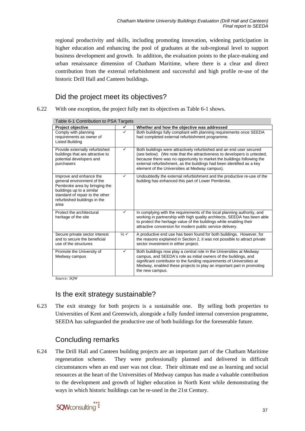regional productivity and skills, including promoting innovation, widening participation in higher education and enhancing the pool of graduates at the sub-regional level to support business development and growth. In addition, the evaluation points to the place-making and urban renaissance dimension of Chatham Maritime, where there is a clear and direct contribution from the external refurbishment and successful and high profile re-use of the historic Drill Hall and Canteen buildings.

### Did the project meet its objectives?

<span id="page-44-0"></span>6.22 With one exception, the project fully met its objectives as [Table 6-1](#page-44-0) shows.

| Project objective                                                                                                                                                                              | $\checkmark$               | Whether and how the objective was addressed                                                                                                                                                                                                                                                                                                           |  |  |
|------------------------------------------------------------------------------------------------------------------------------------------------------------------------------------------------|----------------------------|-------------------------------------------------------------------------------------------------------------------------------------------------------------------------------------------------------------------------------------------------------------------------------------------------------------------------------------------------------|--|--|
| Comply with planning<br>requirements as owner of<br>Listed Building                                                                                                                            | ✓                          | Both buildings fully compliant with planning requirements once SEEDA<br>had completed external refurbishment programme.                                                                                                                                                                                                                               |  |  |
| Provide externally refurbished<br>buildings that are attractive to<br>potential developers and<br>purchasers                                                                                   | $\checkmark$               | Both buildings were attractively refurbished and an end user secured<br>(see below). (We note that the attractiveness to developers is untested,<br>because there was no opportunity to market the buildings following the<br>external refurbishment, as the buildings had been identified as a key<br>element of the Universities at Medway campus). |  |  |
| Improve and enhance the<br>general environment of the<br>Pembroke area by bringing the<br>buildings up to a similar<br>standard of repair to the other<br>refurbished buildings in the<br>area | ✓                          | Undoubtedly the external refurbishment and the productive re-use of the<br>building has enhanced this part of Lower Pembroke.                                                                                                                                                                                                                         |  |  |
| Protect the architectural<br>heritage of the site                                                                                                                                              | ✓                          | In complying with the requirements of the local planning authority, and<br>working in partnership with high quality architects, SEEDA has been able<br>to protect the heritage value of the buildings while enabling their<br>attractive conversion for modern public service delivery.                                                               |  |  |
| Secure private sector interest<br>and to secure the beneficial<br>use of the structures                                                                                                        | $\frac{1}{2}$ $\checkmark$ | A productive end use has been found for both buildings. However, for<br>the reasons explained in Section 2, it was not possible to attract private<br>sector investment in either project.                                                                                                                                                            |  |  |
| Promote the University of<br>Medway campus                                                                                                                                                     | $\checkmark$               | Both buildings now play a central role in the Universities at Medway<br>campus, and SEEDA's role as initial owners of the buildings, and<br>significant contributor to the funding requirements of Universities at<br>Medway, enabled these projects to play an important part in promoting<br>the new campus.                                        |  |  |

Table 6-1 Contribution to PSA Targets

*Source: SQW* 

### Is the exit strategy sustainable?

6.23 The exit strategy for both projects is a sustainable one. By selling both properties to Universities of Kent and Greenwich, alongside a fully funded internal conversion programme, SEEDA has safeguarded the productive use of both buildings for the foreseeable future.

### Concluding remarks

6.24 The Drill Hall and Canteen building projects are an important part of the Chatham Maritime regeneration scheme. They were professionally planned and delivered in difficult circumstances when an end user was not clear. Their ultimate end use as learning and social resources at the heart of the Universities of Medway campus has made a valuable contribution to the development and growth of higher education in North Kent while demonstrating the ways in which historic buildings can be re-used in the 21st Century.

## sqwconsulting<sup>"</sup>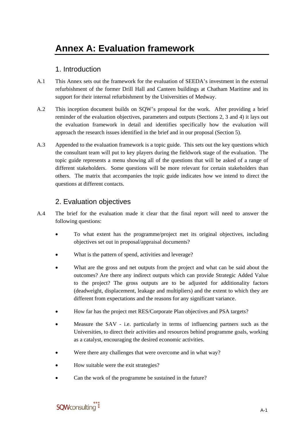### 1. Introduction

- A.1 This Annex sets out the framework for the evaluation of SEEDA's investment in the external refurbishment of the former Drill Hall and Canteen buildings at Chatham Maritime and its support for their internal refurbishment by the Universities of Medway.
- A.2 This inception document builds on SQW's proposal for the work. After providing a brief reminder of the evaluation objectives, parameters and outputs (Sections 2, 3 and 4) it lays out the evaluation framework in detail and identifies specifically how the evaluation will approach the research issues identified in the brief and in our proposal (Section 5).
- A.3 Appended to the evaluation framework is a topic guide. This sets out the key questions which the consultant team will put to key players during the fieldwork stage of the evaluation. The topic guide represents a menu showing all of the questions that will be asked of a range of different stakeholders. Some questions will be more relevant for certain stakeholders than others. The matrix that accompanies the topic guide indicates how we intend to direct the questions at different contacts.

### 2. Evaluation objectives

- A.4 The brief for the evaluation made it clear that the final report will need to answer the following questions:
	- To what extent has the programme/project met its original objectives, including objectives set out in proposal/appraisal documents?
	- What is the pattern of spend, activities and leverage?
	- What are the gross and net outputs from the project and what can be said about the outcomes? Are there any indirect outputs which can provide Strategic Added Value to the project? The gross outputs are to be adjusted for additionality factors (deadweight, displacement, leakage and multipliers) and the extent to which they are different from expectations and the reasons for any significant variance.
	- How far has the project met RES/Corporate Plan objectives and PSA targets?
	- Measure the SAV i.e. particularly in terms of influencing partners such as the Universities, to direct their activities and resources behind programme goals, working as a catalyst, encouraging the desired economic activities.
	- Were there any challenges that were overcome and in what way?
	- How suitable were the exit strategies?
	- Can the work of the programme be sustained in the future?

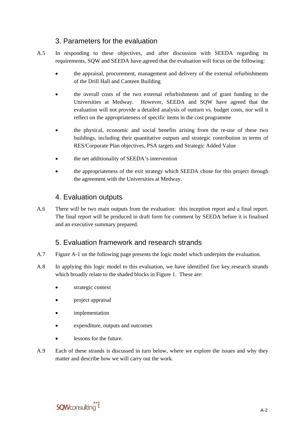### 3. Parameters for the evaluation

- A.5 In responding to these objectives, and after discussion with SEEDA regarding its requirements, SQW and SEEDA have agreed that the evaluation will focus on the following:
	- the appraisal, procurement, management and delivery of the external refurbishments of the Drill Hall and Canteen Building
	- the overall costs of the two external refurbishments and of grant funding to the Universities at Medway. However, SEEDA and SQW have agreed that the evaluation will not provide a detailed analysis of outturn vs. budget costs, nor will it reflect on the appropriateness of specific items in the cost programme
	- the physical, economic and social benefits arising from the re-use of these two buildings, including their quantitative outputs and strategic contribution in terms of RES/Corporate Plan objectives, PSA targets and Strategic Added Value
	- the net additionality of SEEDA's intervention
	- the appropriateness of the exit strategy which SEEDA chose for this project through the agreement with the Universities at Medway.

### 4. Evaluation outputs

A.6 There will be two main outputs from the evaluation: this inception report and a final report. The final report will be produced in draft form for comment by SEEDA before it is finalised and an executive summary prepared.

### 5. Evaluation framework and research strands

- A.7 Figure A-1 on the following page presents the logic model which underpins the evaluation.
- A.8 In applying this logic model to this evaluation, we have identified five key research strands which broadly relate to the shaded blocks in Figure 1. These are:
	- strategic context
	- project appraisal
	- *implementation*
	- expenditure, outputs and outcomes
	- lessons for the future.
- A.9 Each of these strands is discussed in turn below, where we explore the issues and why they matter and describe how we will carry out the work.

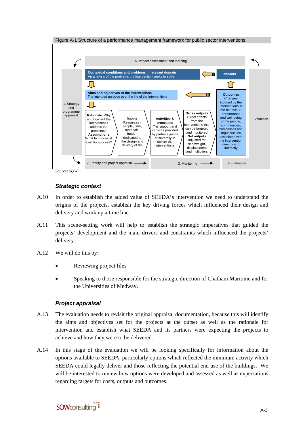

#### *Strategic context*

- A.10 In order to establish the added value of SEEDA's intervention we need to understand the origins of the projects, establish the key driving forces which influenced their design and delivery and work up a time line.
- A.11 This scene-setting work will help to establish the strategic imperatives that guided the projects' development and the main drivers and constraints which influenced the projects' delivery.
- A.12 We will do this by:
	- Reviewing project files
	- Speaking to those responsible for the strategic direction of Chatham Maritime and for the Universities of Medway.

#### *Project appraisal*

- A.13 The evaluation needs to revisit the original appraisal documentation, because this will identify the aims and objectives set for the projects at the outset as well as the rationale for intervention and establish what SEEDA and its partners were expecting the projects to achieve and how they were to be delivered.
- A.14 In this stage of the evaluation we will be looking specifically for information about the options available to SEEDA, particularly options which reflected the minimum activity which SEEDA could legally deliver and those reflecting the potential end use of the buildings. We will be interested to review how options were developed and assessed as well as expectations regarding targets for costs, outputs and outcomes.

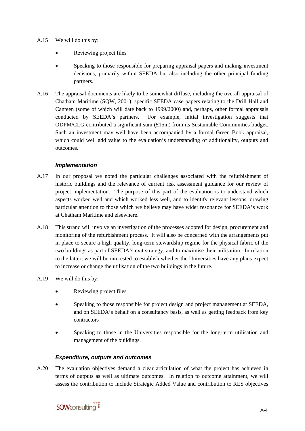- A.15 We will do this by:
	- Reviewing project files
	- Speaking to those responsible for preparing appraisal papers and making investment decisions, primarily within SEEDA but also including the other principal funding partners.
- A.16 The appraisal documents are likely to be somewhat diffuse, including the overall appraisal of Chatham Maritime (SQW, 2001), specific SEEDA case papers relating to the Drill Hall and Canteen (some of which will date back to 1999/2000) and, perhaps, other formal appraisals conducted by SEEDA's partners. For example, initial investigation suggests that ODPM/CLG contributed a significant sum  $(E15m)$  from its Sustainable Communities budget. Such an investment may well have been accompanied by a formal Green Book appraisal, which could well add value to the evaluation's understanding of additionality, outputs and outcomes.

#### *Implementation*

- A.17 In our proposal we noted the particular challenges associated with the refurbishment of historic buildings and the relevance of current risk assessment guidance for our review of project implementation. The purpose of this part of the evaluation is to understand which aspects worked well and which worked less well, and to identify relevant lessons, drawing particular attention to those which we believe may have wider resonance for SEEDA's work at Chatham Maritime and elsewhere.
- A.18 This strand will involve an investigation of the processes adopted for design, procurement and monitoring of the refurbishment process. It will also be concerned with the arrangements put in place to secure a high quality, long-term stewardship regime for the physical fabric of the two buildings as part of SEEDA's exit strategy, and to maximise their utilisation. In relation to the latter, we will be interested to establish whether the Universities have any plans expect to increase or change the utilisation of the two buildings in the future.
- A.19 We will do this by:
	- Reviewing project files
	- Speaking to those responsible for project design and project management at SEEDA, and on SEEDA's behalf on a consultancy basis, as well as getting feedback from key contractors
	- Speaking to those in the Universities responsible for the long-term utilisation and management of the buildings.

#### *Expenditure, outputs and outcomes*

A.20 The evaluation objectives demand a clear articulation of what the project has achieved in terms of outputs as well as ultimate outcomes. In relation to outcome attainment, we will assess the contribution to include Strategic Added Value and contribution to RES objectives

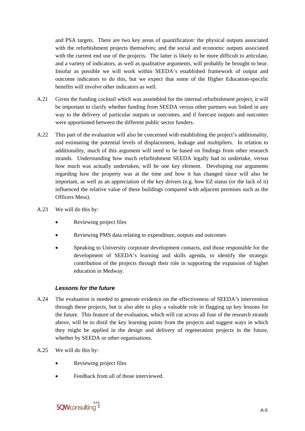and PSA targets. There are two key areas of quantification: the physical outputs associated with the refurbishment projects themselves; and the social and economic outputs associated with the current end use of the projects. The latter is likely to be more difficult to articulate, and a variety of indicators, as well as qualitative arguments, will probably be brought to bear. Insofar as possible we will work within SEEDA's established framework of output and outcome indicators to do this, but we expect that some of the Higher Education-specific benefits will involve other indicators as well.

- A.21 Given the funding cocktail which was assembled for the internal refurbishment project, it will be important to clarify whether funding from SEEDA versus other partners was linked in any way to the delivery of particular outputs or outcomes, and if forecast outputs and outcomes were apportioned between the different public sector funders.
- A.22 This part of the evaluation will also be concerned with establishing the project's additionality, and estimating the potential levels of displacement, leakage and multipliers. In relation to additionality, much of this argument will need to be based on findings from other research strands. Understanding how much refurbishment SEEDA legally had to undertake, versus how much was actually undertaken, will be one key element. Developing our arguments regarding how the property was at the time and how it has changed since will also be important, as well as an appreciation of the key drivers (e.g. how EZ status (or the lack of it) influenced the relative value of these buildings compared with adjacent premises such as the Officers Mess).
- A.23 We will do this by:
	- Reviewing project files
	- Reviewing PMS data relating to expenditure, outputs and outcomes
	- Speaking to University corporate development contacts, and those responsible for the development of SEEDA's learning and skills agenda, to identify the strategic contribution of the projects through their role in supporting the expansion of higher education in Medway.

#### *Lessons for the future*

- A.24 The evaluation is needed to generate evidence on the effectiveness of SEEDA's intervention through these projects, but is also able to play a valuable role in flagging up key lessons for the future. This feature of the evaluation, which will cut across all four of the research strands above, will be to distil the key learning points from the projects and suggest ways in which they might be applied in the design and delivery of regeneration projects in the future, whether by SEEDA or other organisations.
- A.25 We will do this by:
	- Reviewing project files
	- Feedback from all of those interviewed.

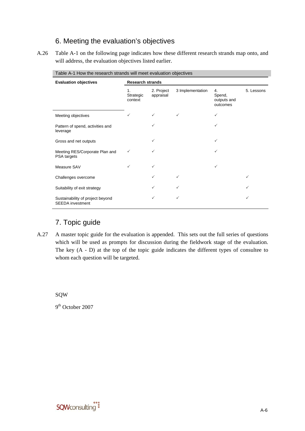### 6. Meeting the evaluation's objectives

A.26 Table A-1 on the following page indicates how these different research strands map onto, and will address, the evaluation objectives listed earlier.

| <b>Evaluation objectives</b>                                | <b>Research strands</b>    |                         |                  |                                         |            |  |
|-------------------------------------------------------------|----------------------------|-------------------------|------------------|-----------------------------------------|------------|--|
|                                                             | 1.<br>Strategic<br>context | 2. Project<br>appraisal | 3 Implementation | 4.<br>Spend,<br>outputs and<br>outcomes | 5. Lessons |  |
| Meeting objectives                                          | ✓                          | $\checkmark$            | $\checkmark$     | ✓                                       |            |  |
| Pattern of spend, activities and<br>leverage                |                            | ✓                       |                  | ✓                                       |            |  |
| Gross and net outputs                                       |                            | ✓                       |                  | ✓                                       |            |  |
| Meeting RES/Corporate Plan and<br>PSA targets               | ✓                          | ✓                       |                  | ✓                                       |            |  |
| Measure SAV                                                 | ✓                          | ✓                       |                  | $\checkmark$                            |            |  |
| Challenges overcome                                         |                            | ✓                       | $\checkmark$     |                                         | ✓          |  |
| Suitability of exit strategy                                |                            | ✓                       | ✓                |                                         | ✓          |  |
| Sustainability of project beyond<br><b>SEEDA</b> investment |                            | ✓                       | ✓                |                                         | ✓          |  |

Table A-1 How the research strands will meet evaluation objectives

### 7. Topic guide

A.27 A master topic guide for the evaluation is appended. This sets out the full series of questions which will be used as prompts for discussion during the fieldwork stage of the evaluation. The key (A - D) at the top of the topic guide indicates the different types of consultee to whom each question will be targeted.

SQW

9<sup>th</sup> October 2007

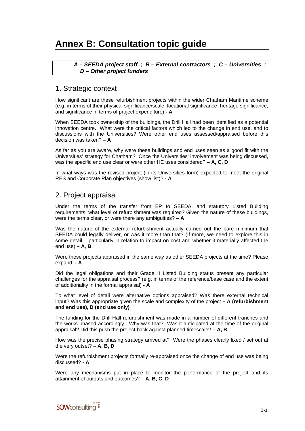## **Annex B: Consultation topic guide**

 *A – SEEDA project staff ; B – External contractors ; C – Universities ; D – Other project funders* 

#### 1. Strategic context

How significant are these refurbishment projects within the wider Chatham Maritime scheme (e.g. in terms of their physical significance/scale, locational significance, heritage significance, and significance in terms of project expenditure) **- A**

When SEEDA took ownership of the buildings, the Drill Hall had been identified as a potential innovation centre. What were the critical factors which led to the change in end use, and to discussions with the Universities? Were other end uses assessed/appraised before this decision was taken? **– A**

As far as you are aware, why were these buildings and end uses seen as a good fit with the Universities' strategy for Chatham? Once the Universities' involvement was being discussed, was the specific end use clear or were other HE uses considered? **– A, C, D** 

In what ways was the revised project (in its Universities form) expected to meet the original RES and Corporate Plan objectives (show list)? **- A**

### 2. Project appraisal

Under the terms of the transfer from EP to SEEDA, and statutory Listed Building requirements, what level of refurbishment was required? Given the nature of these buildings, were the terms clear, or were there any ambiguities? **– A** 

Was the nature of the external refurbishment actually carried out the bare minimum that SEEDA could legally deliver, or was it more than that? (If more, we need to explore this in some detail – particularly in relation to impact on cost and whether it materially affected the end use) **– A**, **B** 

Were these projects appraised in the same way as other SEEDA projects at the time? Please expand. **- A** 

Did the legal obligations and their Grade II Listed Building status present any particular challenges for the appraisal process? (e.g. in terms of the reference/base case and the extent of additionality in the formal appraisal) **- A** 

To what level of detail were alternative options appraised? Was there external technical input? Was this appropriate given the scale and complexity of the project **– A (refurbishment and end use), D (end use only)**

The funding for the Drill Hall refurbishment was made in a number of different tranches and the works phased accordingly. Why was that? Was it anticipated at the time of the original appraisal? Did this push the project back against planned timescale? **– A, B** 

How was the precise phasing strategy arrived at? Were the phases clearly fixed / set out at the very outset? **– A, B, D**

Were the refurbishment projects formally re-appraised once the change of end use was being discussed? **- A**

Were any mechanisms put in place to monitor the performance of the project and its attainment of outputs and outcomes? **– A, B, C, D** 

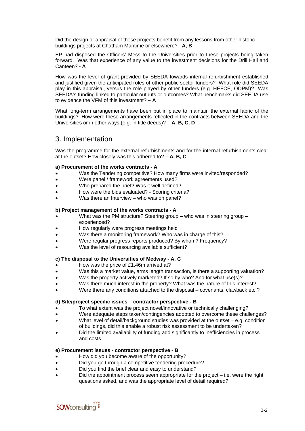Did the design or appraisal of these projects benefit from any lessons from other historic buildings projects at Chatham Maritime or elsewhere?**– A, B**

EP had disposed the Officers' Mess to the Universities prior to these projects being taken forward. Was that experience of any value to the investment decisions for the Drill Hall and Canteen? **- A** 

How was the level of grant provided by SEEDA towards internal refurbishment established and justified given the anticipated roles of other public sector funders? What role did SEEDA play in this appraisal, versus the role played by other funders (e.g. HEFCE, ODPM)? Was SEEDA's funding linked to particular outputs or outcomes? What benchmarks did SEEDA use to evidence the VFM of this investment? **– A** 

What long-term arrangements have been put in place to maintain the external fabric of the buildings? How were these arrangements reflected in the contracts between SEEDA and the Universities or in other ways (e.g. in title deeds)? **– A, B, C, D**

### 3. Implementation

Was the programme for the external refurbishments and for the internal refurbishments clear at the outset? How closely was this adhered to? **– A, B, C**

#### **a) Procurement of the works contracts - A**

- Was the Tendering competitive? How many firms were invited/responded?
- Were panel / framework agreements used?
- Who prepared the brief? Was it well defined?
- How were the bids evaluated? Scoring criteria?
- Was there an Interview  $-$  who was on panel?

#### **b) Project management of the works contracts - A**

- What was the PM structure? Steering group who was in steering group experienced?
- How regularly were progress meetings held
- Was there a monitoring framework? Who was in charge of this?
- Were regular progress reports produced? By whom? Frequency?
- Was the level of resourcing available sufficient?

#### **c) The disposal to the Universities of Medway - A, C**

- How was the price of £1.46m arrived at?
- Was this a market value, arms length transaction, is there a supporting valuation?
- Was the property actively marketed? If so by who? And for what use(s)?
- Was there much interest in the property? What was the nature of this interest?
- Were there any conditions attached to the disposal covenants, clawback etc.?

#### **d) Site/project specific issues – contractor perspective - B**

- To what extent was the project novel/innovative or technically challenging?
- Were adequate steps taken/contingencies adopted to overcome these challenges?
- What level of detail/background studies was provided at the outset  $-e.g.$  condition of buildings, did this enable a robust risk assessment to be undertaken?
- Did the limited availability of funding add significantly to inefficiencies in process and costs

#### **e) Procurement issues - contractor perspective - B**

- How did you become aware of the opportunity?
- Did you go through a competitive tendering procedure?
- Did you find the brief clear and easy to understand?
- Did the appointment process seem appropriate for the project  $-$  i.e. were the right questions asked, and was the appropriate level of detail required?

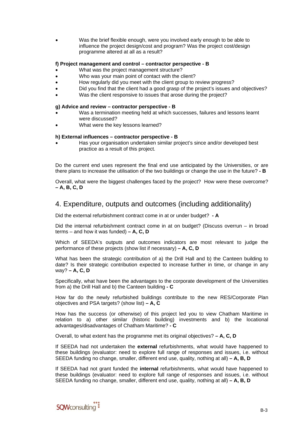• Was the brief flexible enough, were you involved early enough to be able to influence the project design/cost and program? Was the project cost/design programme altered at all as a result?

#### **f) Project management and control – contractor perspective - B**

- What was the project management structure?
- Who was your main point of contact with the client?
- How regularly did you meet with the client group to review progress?
- Did you find that the client had a good grasp of the project's issues and objectives?
- Was the client responsive to issues that arose during the project?

#### **g) Advice and review – contractor perspective - B**

- Was a termination meeting held at which successes, failures and lessons learnt were discussed?
- What were the key lessons learned?

#### **h) External influences – contractor perspective - B**

• Has your organisation undertaken similar project's since and/or developed best practice as a result of this project.

Do the current end uses represent the final end use anticipated by the Universities, or are there plans to increase the utilisation of the two buildings or change the use in the future? **- B** 

Overall, what were the biggest challenges faced by the project? How were these overcome? **– A, B, C, D**

#### 4. Expenditure, outputs and outcomes (including additionality)

Did the external refurbishment contract come in at or under budget? **- A**

Did the internal refurbishment contract come in at on budget? (Discuss overrun – in broad terms – and how it was funded) **– A, C, D**

Which of SEEDA's outputs and outcomes indicators are most relevant to judge the performance of these projects (show list if necessary) **– A, C, D** 

What has been the strategic contribution of a) the Drill Hall and b) the Canteen building to date? Is their strategic contribution expected to increase further in time, or change in any way? **– A, C, D** 

Specifically, what have been the advantages to the corporate development of the Universities from a) the Drill Hall and b) the Canteen building **- C** 

How far do the newly refurbished buildings contribute to the new RES/Corporate Plan objectives and PSA targets? (show list) **– A, C** 

How has the success (or otherwise) of this project led you to view Chatham Maritime in relation to a) other similar (historic building) investments and b) the locational advantages/disadvantages of Chatham Maritime? **- C**

Overall, to what extent has the programme met its original objectives? **– A, C, D** 

If SEEDA had not undertaken the **external** refurbishments, what would have happened to these buildings (evaluator: need to explore full range of responses and issues, i.e. without SEEDA funding no change, smaller, different end use, quality, nothing at all) **– A, B, D** 

If SEEDA had not grant funded the **internal** refurbishments, what would have happened to these buildings (evaluator: need to explore full range of responses and issues, i.e. without SEEDA funding no change, smaller, different end use, quality, nothing at all) **– A, B, D** 

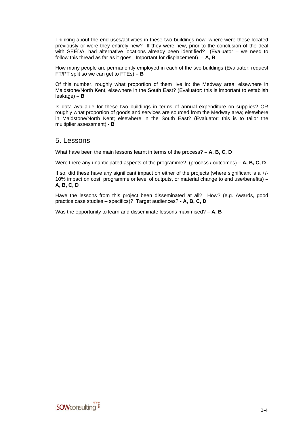Thinking about the end uses/activities in these two buildings now, where were these located previously or were they entirely new? If they were new, prior to the conclusion of the deal with SEEDA, had alternative locations already been identified? (Evaluator – we need to follow this thread as far as it goes. Important for displacement). – **A, B** 

How many people are permanently employed in each of the two buildings (Evaluator: request FT/PT split so we can get to FTEs) **– B** 

Of this number, roughly what proportion of them live in: the Medway area; elsewhere in Maidstone/North Kent, elsewhere in the South East? (Evaluator: this is important to establish leakage) **– B** 

Is data available for these two buildings in terms of annual expenditure on supplies? OR roughly what proportion of goods and services are sourced from the Medway area; elsewhere in Maidstone/North Kent; elsewhere in the South East? (Evaluator: this is to tailor the multiplier assessment) **- B** 

#### 5. Lessons

What have been the main lessons learnt in terms of the process? **– A, B, C, D**

Were there any unanticipated aspects of the programme? (process / outcomes) **– A, B, C, D**

If so, did these have any significant impact on either of the projects (where significant is a +/- 10% impact on cost, programme or level of outputs, or material change to end use/benefits) **– A, B, C, D**

Have the lessons from this project been disseminated at all? How? (e.g. Awards, good practice case studies – specifics)? Target audiences? **- A, B, C, D** 

Was the opportunity to learn and disseminate lessons maximised? **– A, B**